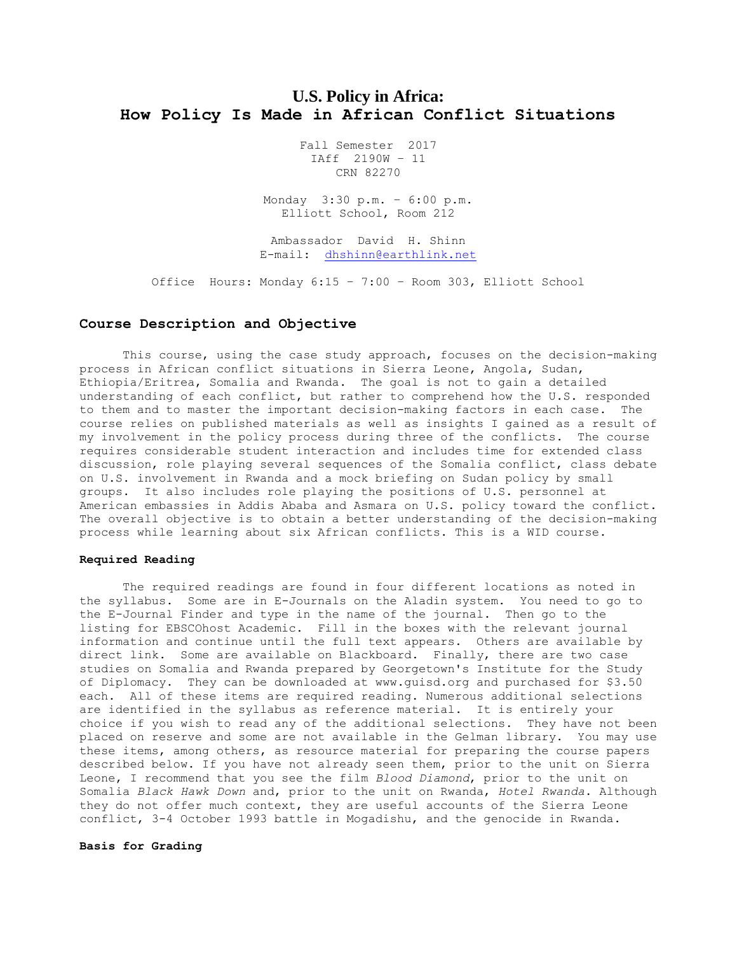# **U.S. Policy in Africa: How Policy Is Made in African Conflict Situations**

Fall Semester 2017 IAff 2190W – 11 CRN 82270

Monday 3:30 p.m. – 6:00 p.m. Elliott School, Room 212

Ambassador David H. Shinn E-mail: [dhshinn@earthlink.net](mailto:dhshinn@earthlink.net)

Office Hours: Monday 6:15 – 7:00 – Room 303, Elliott School

# **Course Description and Objective**

This course, using the case study approach, focuses on the decision-making process in African conflict situations in Sierra Leone, Angola, Sudan, Ethiopia/Eritrea, Somalia and Rwanda. The goal is not to gain a detailed understanding of each conflict, but rather to comprehend how the U.S. responded to them and to master the important decision-making factors in each case. The course relies on published materials as well as insights I gained as a result of my involvement in the policy process during three of the conflicts. The course requires considerable student interaction and includes time for extended class discussion, role playing several sequences of the Somalia conflict, class debate on U.S. involvement in Rwanda and a mock briefing on Sudan policy by small groups. It also includes role playing the positions of U.S. personnel at American embassies in Addis Ababa and Asmara on U.S. policy toward the conflict. The overall objective is to obtain a better understanding of the decision-making process while learning about six African conflicts. This is a WID course.

# **Required Reading**

The required readings are found in four different locations as noted in the syllabus. Some are in E-Journals on the Aladin system. You need to go to the E-Journal Finder and type in the name of the journal. Then go to the listing for EBSCOhost Academic. Fill in the boxes with the relevant journal information and continue until the full text appears. Others are available by direct link. Some are available on Blackboard. Finally, there are two case studies on Somalia and Rwanda prepared by Georgetown's Institute for the Study of Diplomacy. They can be downloaded at www.guisd.org and purchased for \$3.50 each. All of these items are required reading. Numerous additional selections are identified in the syllabus as reference material. It is entirely your choice if you wish to read any of the additional selections. They have not been placed on reserve and some are not available in the Gelman library. You may use these items, among others, as resource material for preparing the course papers described below. If you have not already seen them, prior to the unit on Sierra Leone, I recommend that you see the film *Blood Diamond*, prior to the unit on Somalia *Black Hawk Down* and, prior to the unit on Rwanda, *Hotel Rwanda*. Although they do not offer much context, they are useful accounts of the Sierra Leone conflict, 3-4 October 1993 battle in Mogadishu, and the genocide in Rwanda.

# **Basis for Grading**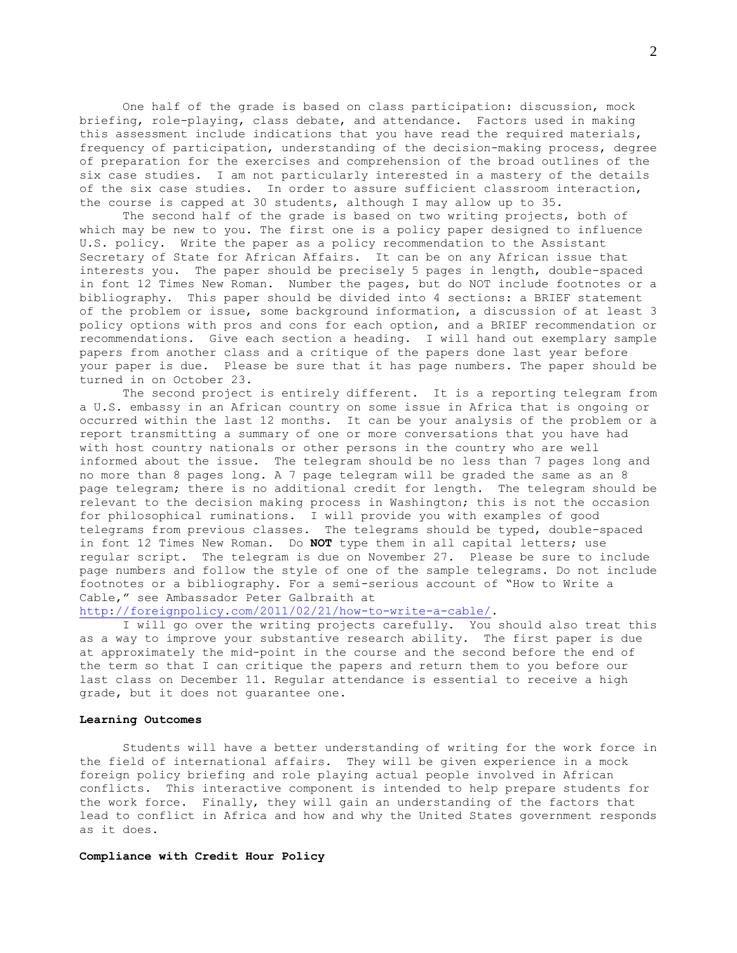One half of the grade is based on class participation: discussion, mock briefing, role-playing, class debate, and attendance. Factors used in making this assessment include indications that you have read the required materials, frequency of participation, understanding of the decision-making process, degree of preparation for the exercises and comprehension of the broad outlines of the six case studies. I am not particularly interested in a mastery of the details of the six case studies. In order to assure sufficient classroom interaction, the course is capped at 30 students, although I may allow up to 35.

The second half of the grade is based on two writing projects, both of which may be new to you. The first one is a policy paper designed to influence U.S. policy. Write the paper as a policy recommendation to the Assistant Secretary of State for African Affairs. It can be on any African issue that interests you. The paper should be precisely 5 pages in length, double-spaced in font 12 Times New Roman. Number the pages, but do NOT include footnotes or a bibliography. This paper should be divided into 4 sections: a BRIEF statement of the problem or issue, some background information, a discussion of at least 3 policy options with pros and cons for each option, and a BRIEF recommendation or recommendations. Give each section a heading. I will hand out exemplary sample papers from another class and a critique of the papers done last year before your paper is due. Please be sure that it has page numbers. The paper should be turned in on October 23.

The second project is entirely different. It is a reporting telegram from a U.S. embassy in an African country on some issue in Africa that is ongoing or occurred within the last 12 months. It can be your analysis of the problem or a report transmitting a summary of one or more conversations that you have had with host country nationals or other persons in the country who are well informed about the issue. The telegram should be no less than 7 pages long and no more than 8 pages long. A 7 page telegram will be graded the same as an 8 page telegram; there is no additional credit for length. The telegram should be relevant to the decision making process in Washington; this is not the occasion for philosophical ruminations. I will provide you with examples of good telegrams from previous classes. The telegrams should be typed, double-spaced in font 12 Times New Roman. Do **NOT** type them in all capital letters; use regular script. The telegram is due on November 27. Please be sure to include page numbers and follow the style of one of the sample telegrams. Do not include footnotes or a bibliography. For a semi-serious account of "How to Write a Cable," see Ambassador Peter Galbraith at

[http://foreignpolicy.com/2011/02/21/how-to-write-a-cable/.](http://foreignpolicy.com/2011/02/21/how-to-write-a-cable/)

I will go over the writing projects carefully. You should also treat this as a way to improve your substantive research ability. The first paper is due at approximately the mid-point in the course and the second before the end of the term so that I can critique the papers and return them to you before our last class on December 11. Regular attendance is essential to receive a high grade, but it does not guarantee one.

#### **Learning Outcomes**

Students will have a better understanding of writing for the work force in the field of international affairs. They will be given experience in a mock foreign policy briefing and role playing actual people involved in African conflicts. This interactive component is intended to help prepare students for the work force. Finally, they will gain an understanding of the factors that lead to conflict in Africa and how and why the United States government responds as it does.

#### **Compliance with Credit Hour Policy**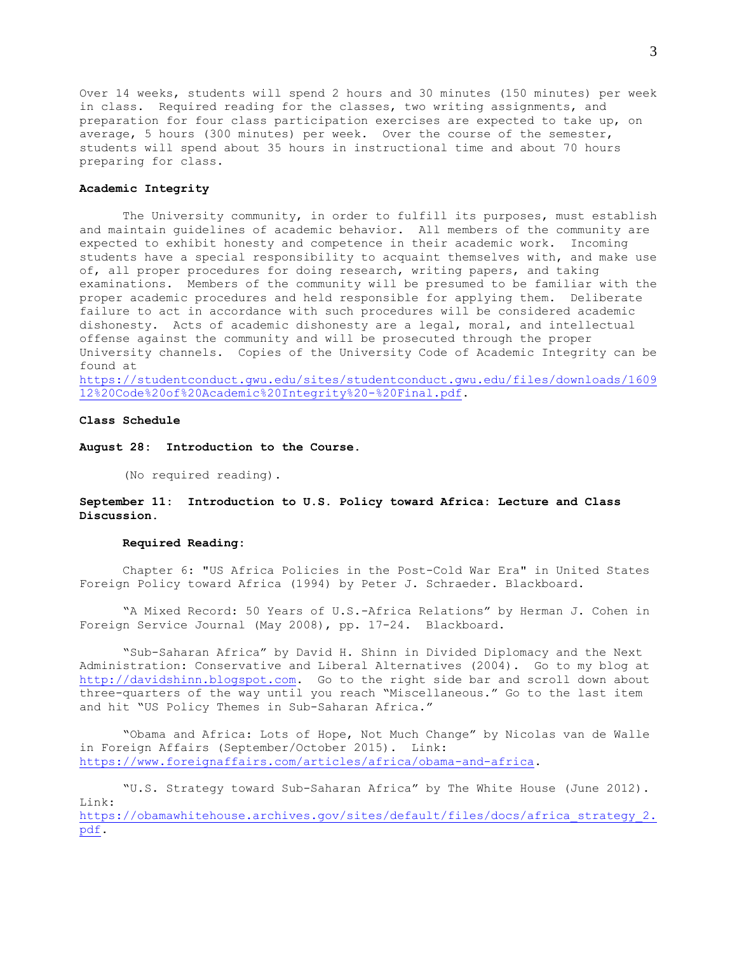Over 14 weeks, students will spend 2 hours and 30 minutes (150 minutes) per week in class. Required reading for the classes, two writing assignments, and preparation for four class participation exercises are expected to take up, on average, 5 hours (300 minutes) per week. Over the course of the semester, students will spend about 35 hours in instructional time and about 70 hours preparing for class.

## **Academic Integrity**

The University community, in order to fulfill its purposes, must establish and maintain guidelines of academic behavior. All members of the community are expected to exhibit honesty and competence in their academic work. Incoming students have a special responsibility to acquaint themselves with, and make use of, all proper procedures for doing research, writing papers, and taking examinations. Members of the community will be presumed to be familiar with the proper academic procedures and held responsible for applying them. Deliberate failure to act in accordance with such procedures will be considered academic dishonesty. Acts of academic dishonesty are a legal, moral, and intellectual offense against the community and will be prosecuted through the proper University channels. Copies of the University Code of Academic Integrity can be found at

[https://studentconduct.gwu.edu/sites/studentconduct.gwu.edu/files/downloads/1609](https://studentconduct.gwu.edu/sites/studentconduct.gwu.edu/files/downloads/160912%20Code%20of%20Academic%20Integrity%20-%20Final.pdf) [12%20Code%20of%20Academic%20Integrity%20-%20Final.pdf.](https://studentconduct.gwu.edu/sites/studentconduct.gwu.edu/files/downloads/160912%20Code%20of%20Academic%20Integrity%20-%20Final.pdf)

## **Class Schedule**

#### **August 28: Introduction to the Course**.

(No required reading).

**September 11: Introduction to U.S. Policy toward Africa: Lecture and Class Discussion.** 

#### **Required Reading:**

Chapter 6: "US Africa Policies in the Post-Cold War Era" in United States Foreign Policy toward Africa (1994) by Peter J. Schraeder. Blackboard.

"A Mixed Record: 50 Years of U.S.-Africa Relations" by Herman J. Cohen in Foreign Service Journal (May 2008), pp. 17-24. Blackboard.

"Sub-Saharan Africa" by David H. Shinn in Divided Diplomacy and the Next Administration: Conservative and Liberal Alternatives (2004). Go to my blog at [http://davidshinn.blogspot.com.](http://davidshinn.blogspot.com/) Go to the right side bar and scroll down about three-quarters of the way until you reach "Miscellaneous." Go to the last item and hit "US Policy Themes in Sub-Saharan Africa."

"Obama and Africa: Lots of Hope, Not Much Change" by Nicolas van de Walle in Foreign Affairs (September/October 2015). Link: [https://www.foreignaffairs.com/articles/africa/obama-and-africa.](https://www.foreignaffairs.com/articles/africa/obama-and-africa)

"U.S. Strategy toward Sub-Saharan Africa" by The White House (June 2012). Link: [https://obamawhitehouse.archives.gov/sites/default/files/docs/africa\\_strategy\\_2.](https://obamawhitehouse.archives.gov/sites/default/files/docs/africa_strategy_2.pdf) [pdf.](https://obamawhitehouse.archives.gov/sites/default/files/docs/africa_strategy_2.pdf)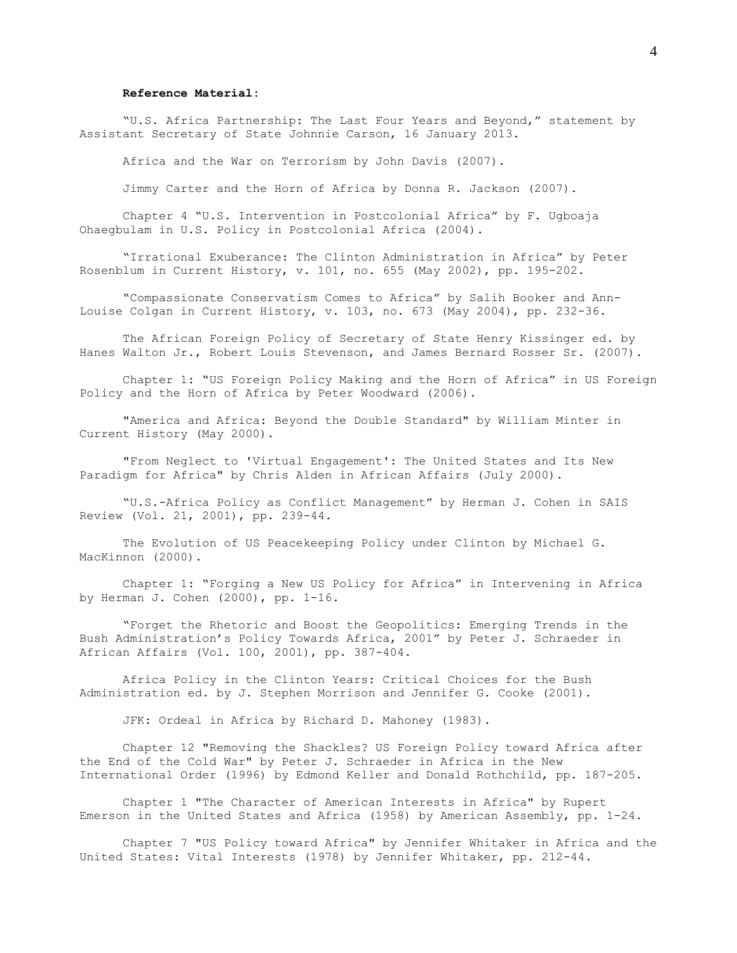#### **Reference Material:**

"U.S. Africa Partnership: The Last Four Years and Beyond," statement by Assistant Secretary of State Johnnie Carson, 16 January 2013.

Africa and the War on Terrorism by John Davis (2007).

Jimmy Carter and the Horn of Africa by Donna R. Jackson (2007).

Chapter 4 "U.S. Intervention in Postcolonial Africa" by F. Ugboaja Ohaegbulam in U.S. Policy in Postcolonial Africa (2004).

"Irrational Exuberance: The Clinton Administration in Africa" by Peter Rosenblum in Current History, v. 101, no. 655 (May 2002), pp. 195-202.

"Compassionate Conservatism Comes to Africa" by Salih Booker and Ann-Louise Colgan in Current History, v. 103, no. 673 (May 2004), pp. 232-36.

The African Foreign Policy of Secretary of State Henry Kissinger ed. by Hanes Walton Jr., Robert Louis Stevenson, and James Bernard Rosser Sr. (2007).

Chapter 1: "US Foreign Policy Making and the Horn of Africa" in US Foreign Policy and the Horn of Africa by Peter Woodward (2006).

"America and Africa: Beyond the Double Standard" by William Minter in Current History (May 2000).

"From Neglect to 'Virtual Engagement': The United States and Its New Paradigm for Africa" by Chris Alden in African Affairs (July 2000).

"U.S.-Africa Policy as Conflict Management" by Herman J. Cohen in SAIS Review (Vol. 21, 2001), pp. 239-44.

The Evolution of US Peacekeeping Policy under Clinton by Michael G. MacKinnon (2000).

Chapter 1: "Forging a New US Policy for Africa" in Intervening in Africa by Herman J. Cohen (2000), pp. 1-16.

"Forget the Rhetoric and Boost the Geopolitics: Emerging Trends in the Bush Administration's Policy Towards Africa, 2001" by Peter J. Schraeder in African Affairs (Vol. 100, 2001), pp. 387-404.

Africa Policy in the Clinton Years: Critical Choices for the Bush Administration ed. by J. Stephen Morrison and Jennifer G. Cooke (2001).

JFK: Ordeal in Africa by Richard D. Mahoney (1983).

Chapter 12 "Removing the Shackles? US Foreign Policy toward Africa after the End of the Cold War" by Peter J. Schraeder in Africa in the New International Order (1996) by Edmond Keller and Donald Rothchild, pp. 187-205.

Chapter 1 "The Character of American Interests in Africa" by Rupert Emerson in the United States and Africa (1958) by American Assembly, pp. 1-24.

Chapter 7 "US Policy toward Africa" by Jennifer Whitaker in Africa and the United States: Vital Interests (1978) by Jennifer Whitaker, pp. 212-44.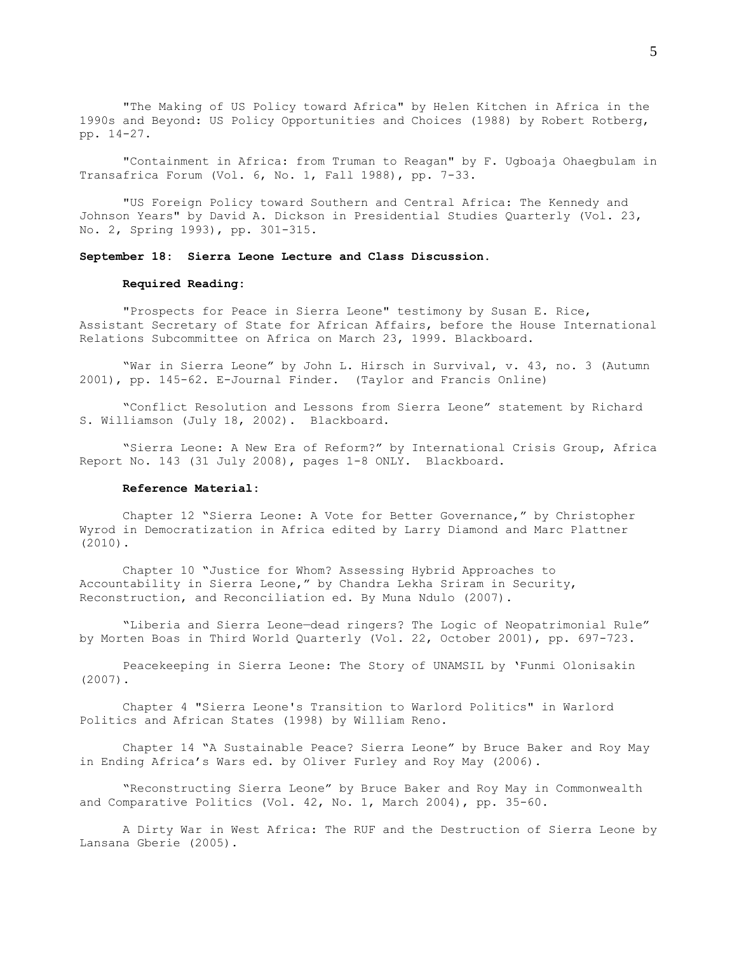"The Making of US Policy toward Africa" by Helen Kitchen in Africa in the 1990s and Beyond: US Policy Opportunities and Choices (1988) by Robert Rotberg, pp. 14-27.

"Containment in Africa: from Truman to Reagan" by F. Ugboaja Ohaegbulam in Transafrica Forum (Vol. 6, No. 1, Fall 1988), pp. 7-33.

"US Foreign Policy toward Southern and Central Africa: The Kennedy and Johnson Years" by David A. Dickson in Presidential Studies Quarterly (Vol. 23, No. 2, Spring 1993), pp. 301-315.

# **September 18: Sierra Leone Lecture and Class Discussion.**

#### **Required Reading:**

"Prospects for Peace in Sierra Leone" testimony by Susan E. Rice, Assistant Secretary of State for African Affairs, before the House International Relations Subcommittee on Africa on March 23, 1999. Blackboard.

"War in Sierra Leone" by John L. Hirsch in Survival, v. 43, no. 3 (Autumn 2001), pp. 145-62. E-Journal Finder. (Taylor and Francis Online)

"Conflict Resolution and Lessons from Sierra Leone" statement by Richard S. Williamson (July 18, 2002). Blackboard.

"Sierra Leone: A New Era of Reform?" by International Crisis Group, Africa Report No. 143 (31 July 2008), pages 1-8 ONLY. Blackboard.

#### **Reference Material:**

Chapter 12 "Sierra Leone: A Vote for Better Governance," by Christopher Wyrod in Democratization in Africa edited by Larry Diamond and Marc Plattner (2010).

Chapter 10 "Justice for Whom? Assessing Hybrid Approaches to Accountability in Sierra Leone," by Chandra Lekha Sriram in Security, Reconstruction, and Reconciliation ed. By Muna Ndulo (2007).

"Liberia and Sierra Leone—dead ringers? The Logic of Neopatrimonial Rule" by Morten Boas in Third World Quarterly (Vol. 22, October 2001), pp. 697-723.

Peacekeeping in Sierra Leone: The Story of UNAMSIL by 'Funmi Olonisakin (2007).

Chapter 4 "Sierra Leone's Transition to Warlord Politics" in Warlord Politics and African States (1998) by William Reno.

Chapter 14 "A Sustainable Peace? Sierra Leone" by Bruce Baker and Roy May in Ending Africa's Wars ed. by Oliver Furley and Roy May (2006).

"Reconstructing Sierra Leone" by Bruce Baker and Roy May in Commonwealth and Comparative Politics (Vol. 42, No. 1, March 2004), pp. 35-60.

A Dirty War in West Africa: The RUF and the Destruction of Sierra Leone by Lansana Gberie (2005).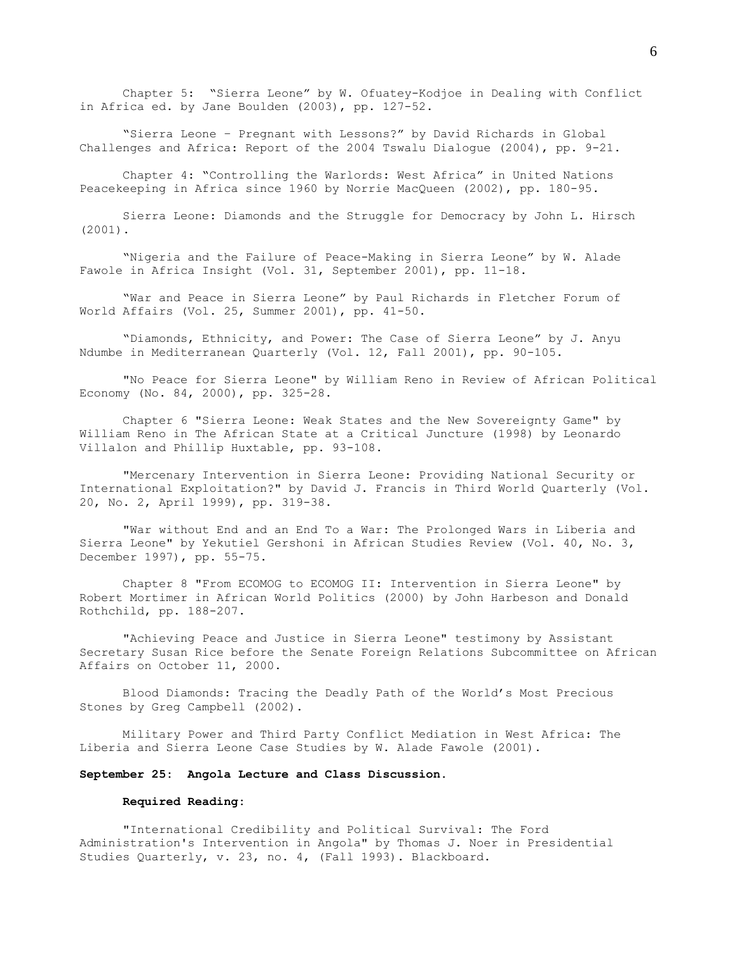Chapter 5: "Sierra Leone" by W. Ofuatey-Kodjoe in Dealing with Conflict in Africa ed. by Jane Boulden (2003), pp. 127-52.

"Sierra Leone – Pregnant with Lessons?" by David Richards in Global Challenges and Africa: Report of the 2004 Tswalu Dialogue (2004), pp. 9-21.

Chapter 4: "Controlling the Warlords: West Africa" in United Nations Peacekeeping in Africa since 1960 by Norrie MacQueen (2002), pp. 180-95.

Sierra Leone: Diamonds and the Struggle for Democracy by John L. Hirsch (2001).

"Nigeria and the Failure of Peace-Making in Sierra Leone" by W. Alade Fawole in Africa Insight (Vol. 31, September 2001), pp. 11-18.

"War and Peace in Sierra Leone" by Paul Richards in Fletcher Forum of World Affairs (Vol. 25, Summer 2001), pp. 41-50.

"Diamonds, Ethnicity, and Power: The Case of Sierra Leone" by J. Anyu Ndumbe in Mediterranean Quarterly (Vol. 12, Fall 2001), pp. 90-105.

"No Peace for Sierra Leone" by William Reno in Review of African Political Economy (No. 84, 2000), pp. 325-28.

Chapter 6 "Sierra Leone: Weak States and the New Sovereignty Game" by William Reno in The African State at a Critical Juncture (1998) by Leonardo Villalon and Phillip Huxtable, pp. 93-108.

"Mercenary Intervention in Sierra Leone: Providing National Security or International Exploitation?" by David J. Francis in Third World Quarterly (Vol. 20, No. 2, April 1999), pp. 319-38.

"War without End and an End To a War: The Prolonged Wars in Liberia and Sierra Leone" by Yekutiel Gershoni in African Studies Review (Vol. 40, No. 3, December 1997), pp. 55-75.

Chapter 8 "From ECOMOG to ECOMOG II: Intervention in Sierra Leone" by Robert Mortimer in African World Politics (2000) by John Harbeson and Donald Rothchild, pp. 188-207.

"Achieving Peace and Justice in Sierra Leone" testimony by Assistant Secretary Susan Rice before the Senate Foreign Relations Subcommittee on African Affairs on October 11, 2000.

Blood Diamonds: Tracing the Deadly Path of the World's Most Precious Stones by Greg Campbell (2002).

Military Power and Third Party Conflict Mediation in West Africa: The Liberia and Sierra Leone Case Studies by W. Alade Fawole (2001).

## **September 25: Angola Lecture and Class Discussion.**

#### **Required Reading:**

"International Credibility and Political Survival: The Ford Administration's Intervention in Angola" by Thomas J. Noer in Presidential Studies Quarterly, v. 23, no. 4, (Fall 1993). Blackboard.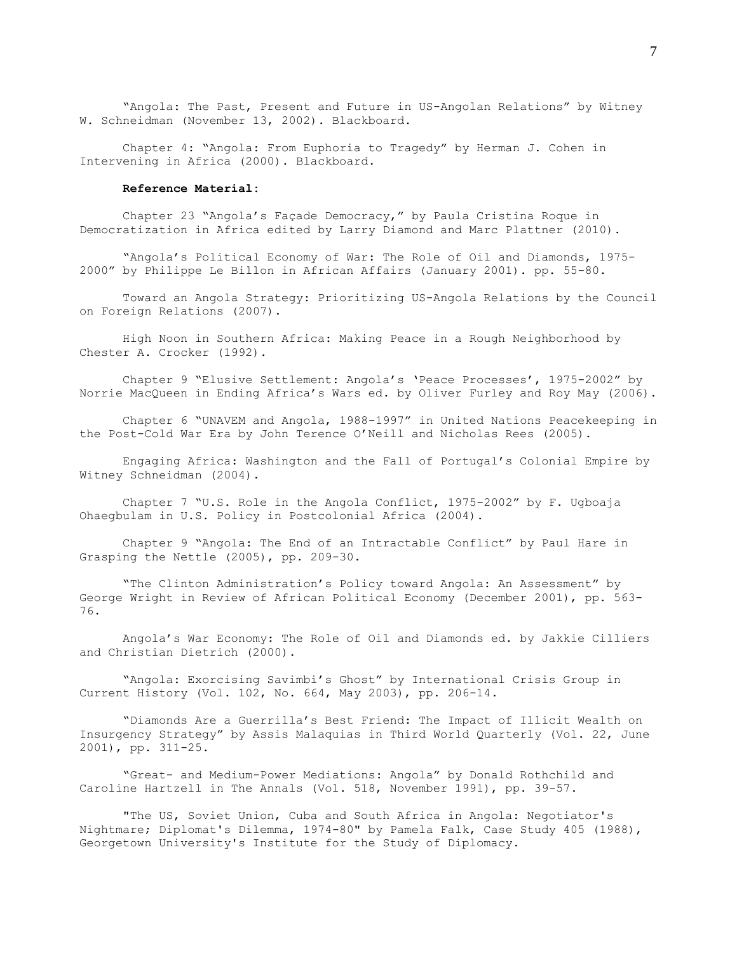"Angola: The Past, Present and Future in US-Angolan Relations" by Witney W. Schneidman (November 13, 2002). Blackboard.

Chapter 4: "Angola: From Euphoria to Tragedy" by Herman J. Cohen in Intervening in Africa (2000). Blackboard.

#### **Reference Material:**

Chapter 23 "Angola's Façade Democracy," by Paula Cristina Roque in Democratization in Africa edited by Larry Diamond and Marc Plattner (2010).

"Angola's Political Economy of War: The Role of Oil and Diamonds, 1975- 2000" by Philippe Le Billon in African Affairs (January 2001). pp. 55-80.

Toward an Angola Strategy: Prioritizing US-Angola Relations by the Council on Foreign Relations (2007).

High Noon in Southern Africa: Making Peace in a Rough Neighborhood by Chester A. Crocker (1992).

Chapter 9 "Elusive Settlement: Angola's 'Peace Processes', 1975-2002" by Norrie MacQueen in Ending Africa's Wars ed. by Oliver Furley and Roy May (2006).

Chapter 6 "UNAVEM and Angola, 1988-1997" in United Nations Peacekeeping in the Post-Cold War Era by John Terence O'Neill and Nicholas Rees (2005).

Engaging Africa: Washington and the Fall of Portugal's Colonial Empire by Witney Schneidman (2004).

Chapter 7 "U.S. Role in the Angola Conflict, 1975-2002" by F. Ugboaja Ohaegbulam in U.S. Policy in Postcolonial Africa (2004).

Chapter 9 "Angola: The End of an Intractable Conflict" by Paul Hare in Grasping the Nettle (2005), pp. 209-30.

"The Clinton Administration's Policy toward Angola: An Assessment" by George Wright in Review of African Political Economy (December 2001), pp. 563- 76.

Angola's War Economy: The Role of Oil and Diamonds ed. by Jakkie Cilliers and Christian Dietrich (2000).

"Angola: Exorcising Savimbi's Ghost" by International Crisis Group in Current History (Vol. 102, No. 664, May 2003), pp. 206-14.

"Diamonds Are a Guerrilla's Best Friend: The Impact of Illicit Wealth on Insurgency Strategy" by Assis Malaquias in Third World Quarterly (Vol. 22, June 2001), pp. 311-25.

"Great- and Medium-Power Mediations: Angola" by Donald Rothchild and Caroline Hartzell in The Annals (Vol. 518, November 1991), pp. 39-57.

"The US, Soviet Union, Cuba and South Africa in Angola: Negotiator's Nightmare; Diplomat's Dilemma, 1974-80" by Pamela Falk, Case Study 405 (1988), Georgetown University's Institute for the Study of Diplomacy.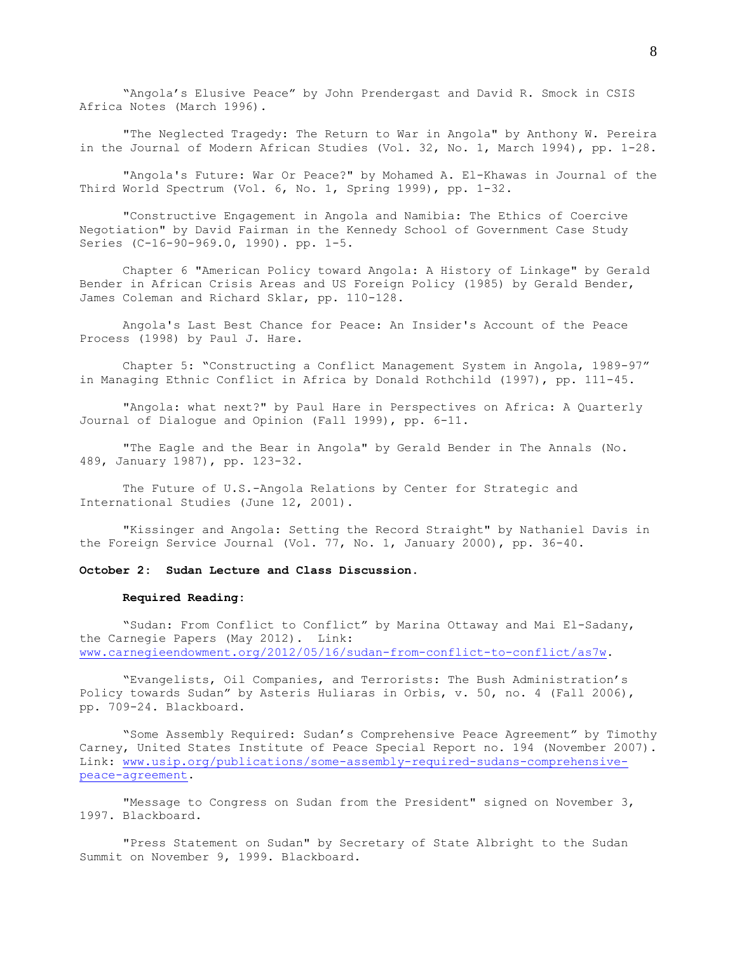"Angola's Elusive Peace" by John Prendergast and David R. Smock in CSIS Africa Notes (March 1996).

"The Neglected Tragedy: The Return to War in Angola" by Anthony W. Pereira in the Journal of Modern African Studies (Vol. 32, No. 1, March 1994), pp. 1-28.

"Angola's Future: War Or Peace?" by Mohamed A. El-Khawas in Journal of the Third World Spectrum (Vol. 6, No. 1, Spring 1999), pp. 1-32.

"Constructive Engagement in Angola and Namibia: The Ethics of Coercive Negotiation" by David Fairman in the Kennedy School of Government Case Study Series (C-16-90-969.0, 1990). pp. 1-5.

Chapter 6 "American Policy toward Angola: A History of Linkage" by Gerald Bender in African Crisis Areas and US Foreign Policy (1985) by Gerald Bender, James Coleman and Richard Sklar, pp. 110-128.

Angola's Last Best Chance for Peace: An Insider's Account of the Peace Process (1998) by Paul J. Hare.

Chapter 5: "Constructing a Conflict Management System in Angola, 1989-97" in Managing Ethnic Conflict in Africa by Donald Rothchild (1997), pp. 111-45.

"Angola: what next?" by Paul Hare in Perspectives on Africa: A Quarterly Journal of Dialogue and Opinion (Fall 1999), pp. 6-11.

"The Eagle and the Bear in Angola" by Gerald Bender in The Annals (No. 489, January 1987), pp. 123-32.

The Future of U.S.-Angola Relations by Center for Strategic and International Studies (June 12, 2001).

"Kissinger and Angola: Setting the Record Straight" by Nathaniel Davis in the Foreign Service Journal (Vol. 77, No. 1, January 2000), pp. 36-40.

# **October 2: Sudan Lecture and Class Discussion.**

#### **Required Reading:**

"Sudan: From Conflict to Conflict" by Marina Ottaway and Mai El-Sadany, the Carnegie Papers (May 2012). Link: [www.carnegieendowment.org/2012/05/16/sudan-from-conflict-to-conflict/as7w.](http://www.carnegieendowment.org/2012/05/16/sudan-from-conflict-to-conflict/as7w)

"Evangelists, Oil Companies, and Terrorists: The Bush Administration's Policy towards Sudan" by Asteris Huliaras in Orbis, v. 50, no. 4 (Fall 2006), pp. 709-24. Blackboard.

"Some Assembly Required: Sudan's Comprehensive Peace Agreement" by Timothy Carney, United States Institute of Peace Special Report no. 194 (November 2007). Link: [www.usip.org/publications/some-assembly-required-sudans-comprehensive](http://www.usip.org/publications/some-assembly-required-sudans-comprehensive-peace-agreement)[peace-agreement.](http://www.usip.org/publications/some-assembly-required-sudans-comprehensive-peace-agreement)

"Message to Congress on Sudan from the President" signed on November 3, 1997. Blackboard.

"Press Statement on Sudan" by Secretary of State Albright to the Sudan Summit on November 9, 1999. Blackboard.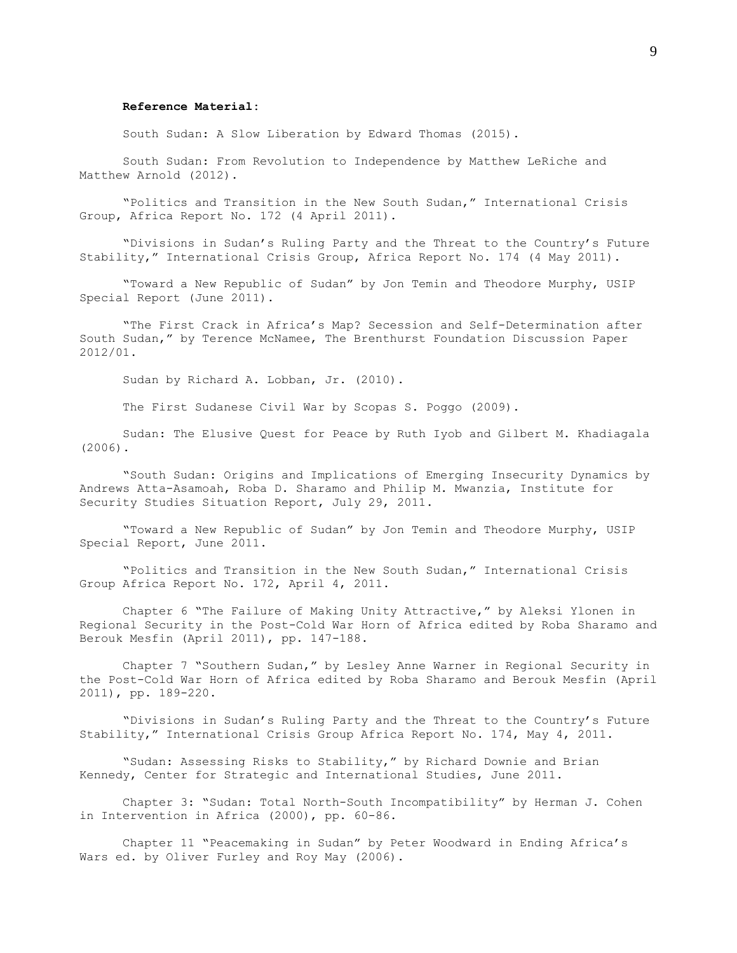#### **Reference Material:**

South Sudan: A Slow Liberation by Edward Thomas (2015).

South Sudan: From Revolution to Independence by Matthew LeRiche and Matthew Arnold (2012).

"Politics and Transition in the New South Sudan," International Crisis Group, Africa Report No. 172 (4 April 2011).

"Divisions in Sudan's Ruling Party and the Threat to the Country's Future Stability," International Crisis Group, Africa Report No. 174 (4 May 2011).

"Toward a New Republic of Sudan" by Jon Temin and Theodore Murphy, USIP Special Report (June 2011).

"The First Crack in Africa's Map? Secession and Self-Determination after South Sudan," by Terence McNamee, The Brenthurst Foundation Discussion Paper 2012/01.

Sudan by Richard A. Lobban, Jr. (2010).

The First Sudanese Civil War by Scopas S. Poggo (2009).

Sudan: The Elusive Quest for Peace by Ruth Iyob and Gilbert M. Khadiagala (2006).

"South Sudan: Origins and Implications of Emerging Insecurity Dynamics by Andrews Atta-Asamoah, Roba D. Sharamo and Philip M. Mwanzia, Institute for Security Studies Situation Report, July 29, 2011.

"Toward a New Republic of Sudan" by Jon Temin and Theodore Murphy, USIP Special Report, June 2011.

"Politics and Transition in the New South Sudan," International Crisis Group Africa Report No. 172, April 4, 2011.

Chapter 6 "The Failure of Making Unity Attractive," by Aleksi Ylonen in Regional Security in the Post-Cold War Horn of Africa edited by Roba Sharamo and Berouk Mesfin (April 2011), pp. 147-188.

Chapter 7 "Southern Sudan," by Lesley Anne Warner in Regional Security in the Post-Cold War Horn of Africa edited by Roba Sharamo and Berouk Mesfin (April 2011), pp. 189-220.

"Divisions in Sudan's Ruling Party and the Threat to the Country's Future Stability," International Crisis Group Africa Report No. 174, May 4, 2011.

"Sudan: Assessing Risks to Stability," by Richard Downie and Brian Kennedy, Center for Strategic and International Studies, June 2011.

Chapter 3: "Sudan: Total North-South Incompatibility" by Herman J. Cohen in Intervention in Africa (2000), pp. 60-86.

Chapter 11 "Peacemaking in Sudan" by Peter Woodward in Ending Africa's Wars ed. by Oliver Furley and Roy May (2006).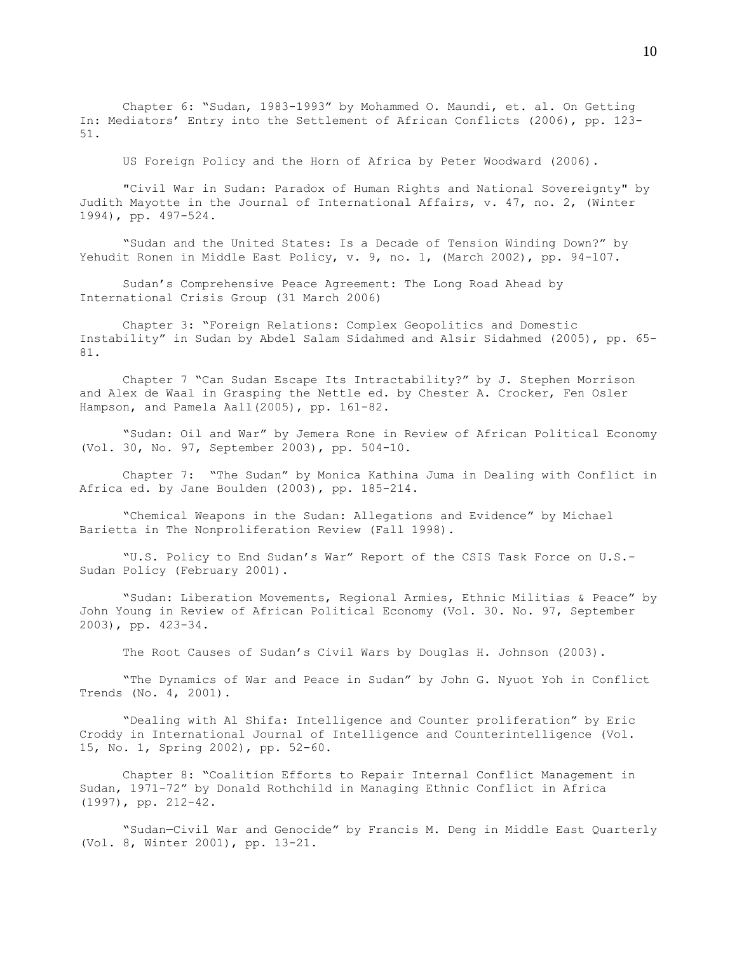Chapter 6: "Sudan, 1983-1993" by Mohammed O. Maundi, et. al. On Getting In: Mediators' Entry into the Settlement of African Conflicts (2006), pp. 123- 51.

US Foreign Policy and the Horn of Africa by Peter Woodward (2006).

"Civil War in Sudan: Paradox of Human Rights and National Sovereignty" by Judith Mayotte in the Journal of International Affairs, v. 47, no. 2, (Winter 1994), pp. 497-524.

"Sudan and the United States: Is a Decade of Tension Winding Down?" by Yehudit Ronen in Middle East Policy, v. 9, no. 1, (March 2002), pp. 94-107.

Sudan's Comprehensive Peace Agreement: The Long Road Ahead by International Crisis Group (31 March 2006)

Chapter 3: "Foreign Relations: Complex Geopolitics and Domestic Instability" in Sudan by Abdel Salam Sidahmed and Alsir Sidahmed (2005), pp. 65- 81.

Chapter 7 "Can Sudan Escape Its Intractability?" by J. Stephen Morrison and Alex de Waal in Grasping the Nettle ed. by Chester A. Crocker, Fen Osler Hampson, and Pamela Aall(2005), pp. 161-82.

"Sudan: Oil and War" by Jemera Rone in Review of African Political Economy (Vol. 30, No. 97, September 2003), pp. 504-10.

Chapter 7: "The Sudan" by Monica Kathina Juma in Dealing with Conflict in Africa ed. by Jane Boulden (2003), pp. 185-214.

"Chemical Weapons in the Sudan: Allegations and Evidence" by Michael Barietta in The Nonproliferation Review (Fall 1998).

"U.S. Policy to End Sudan's War" Report of the CSIS Task Force on U.S.- Sudan Policy (February 2001).

"Sudan: Liberation Movements, Regional Armies, Ethnic Militias & Peace" by John Young in Review of African Political Economy (Vol. 30. No. 97, September 2003), pp. 423-34.

The Root Causes of Sudan's Civil Wars by Douglas H. Johnson (2003).

"The Dynamics of War and Peace in Sudan" by John G. Nyuot Yoh in Conflict Trends (No. 4, 2001).

"Dealing with Al Shifa: Intelligence and Counter proliferation" by Eric Croddy in International Journal of Intelligence and Counterintelligence (Vol. 15, No. 1, Spring 2002), pp. 52-60.

Chapter 8: "Coalition Efforts to Repair Internal Conflict Management in Sudan, 1971-72" by Donald Rothchild in Managing Ethnic Conflict in Africa (1997), pp. 212-42.

"Sudan—Civil War and Genocide" by Francis M. Deng in Middle East Quarterly (Vol. 8, Winter 2001), pp. 13-21.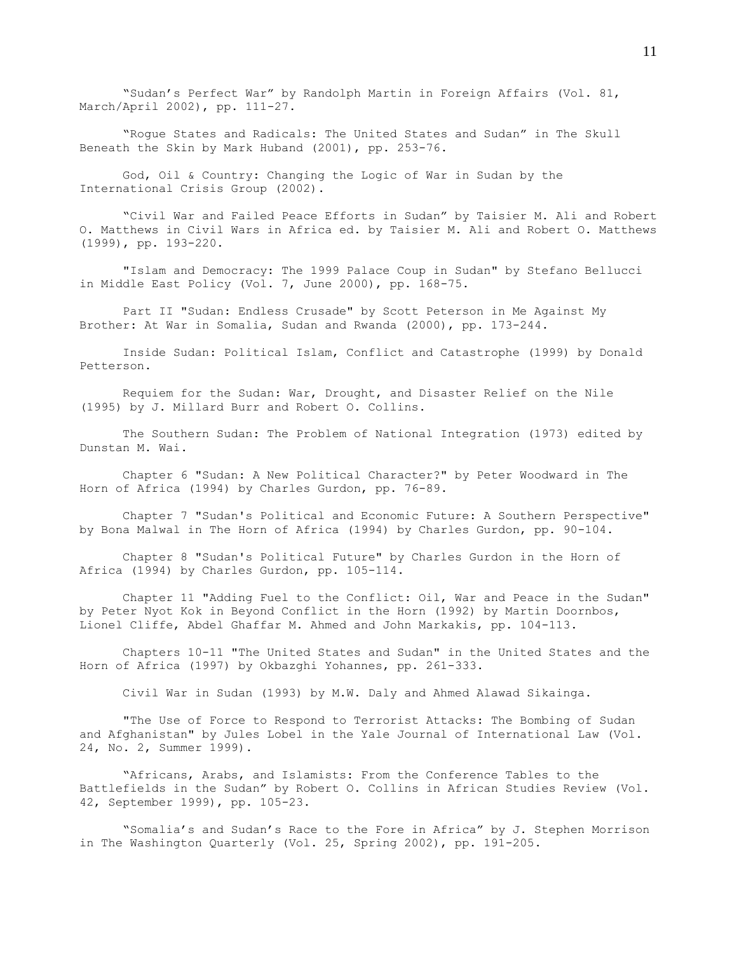"Sudan's Perfect War" by Randolph Martin in Foreign Affairs (Vol. 81, March/April 2002), pp. 111-27.

"Rogue States and Radicals: The United States and Sudan" in The Skull Beneath the Skin by Mark Huband (2001), pp. 253-76.

God, Oil & Country: Changing the Logic of War in Sudan by the International Crisis Group (2002).

"Civil War and Failed Peace Efforts in Sudan" by Taisier M. Ali and Robert O. Matthews in Civil Wars in Africa ed. by Taisier M. Ali and Robert O. Matthews (1999), pp. 193-220.

"Islam and Democracy: The 1999 Palace Coup in Sudan" by Stefano Bellucci in Middle East Policy (Vol. 7, June 2000), pp. 168-75.

Part II "Sudan: Endless Crusade" by Scott Peterson in Me Against My Brother: At War in Somalia, Sudan and Rwanda (2000), pp. 173-244.

Inside Sudan: Political Islam, Conflict and Catastrophe (1999) by Donald Petterson.

Requiem for the Sudan: War, Drought, and Disaster Relief on the Nile (1995) by J. Millard Burr and Robert O. Collins.

The Southern Sudan: The Problem of National Integration (1973) edited by Dunstan M. Wai.

Chapter 6 "Sudan: A New Political Character?" by Peter Woodward in The Horn of Africa (1994) by Charles Gurdon, pp. 76-89.

Chapter 7 "Sudan's Political and Economic Future: A Southern Perspective" by Bona Malwal in The Horn of Africa (1994) by Charles Gurdon, pp. 90-104.

Chapter 8 "Sudan's Political Future" by Charles Gurdon in the Horn of Africa (1994) by Charles Gurdon, pp. 105-114.

Chapter 11 "Adding Fuel to the Conflict: Oil, War and Peace in the Sudan" by Peter Nyot Kok in Beyond Conflict in the Horn (1992) by Martin Doornbos, Lionel Cliffe, Abdel Ghaffar M. Ahmed and John Markakis, pp. 104-113.

Chapters 10-11 "The United States and Sudan" in the United States and the Horn of Africa (1997) by Okbazghi Yohannes, pp. 261-333.

Civil War in Sudan (1993) by M.W. Daly and Ahmed Alawad Sikainga.

"The Use of Force to Respond to Terrorist Attacks: The Bombing of Sudan and Afghanistan" by Jules Lobel in the Yale Journal of International Law (Vol. 24, No. 2, Summer 1999).

"Africans, Arabs, and Islamists: From the Conference Tables to the Battlefields in the Sudan" by Robert O. Collins in African Studies Review (Vol. 42, September 1999), pp. 105-23.

"Somalia's and Sudan's Race to the Fore in Africa" by J. Stephen Morrison in The Washington Quarterly (Vol. 25, Spring 2002), pp. 191-205.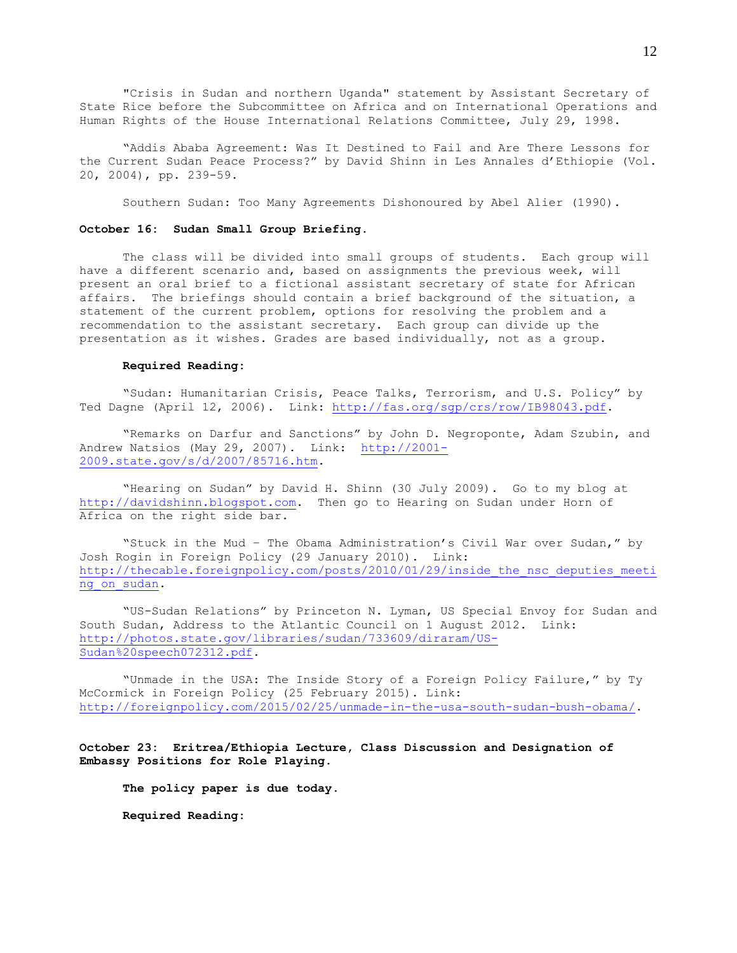"Crisis in Sudan and northern Uganda" statement by Assistant Secretary of State Rice before the Subcommittee on Africa and on International Operations and Human Rights of the House International Relations Committee, July 29, 1998.

"Addis Ababa Agreement: Was It Destined to Fail and Are There Lessons for the Current Sudan Peace Process?" by David Shinn in Les Annales d'Ethiopie (Vol. 20, 2004), pp. 239-59.

Southern Sudan: Too Many Agreements Dishonoured by Abel Alier (1990).

### **October 16: Sudan Small Group Briefing.**

The class will be divided into small groups of students. Each group will have a different scenario and, based on assignments the previous week, will present an oral brief to a fictional assistant secretary of state for African affairs. The briefings should contain a brief background of the situation, a statement of the current problem, options for resolving the problem and a recommendation to the assistant secretary. Each group can divide up the presentation as it wishes. Grades are based individually, not as a group.

## **Required Reading:**

"Sudan: Humanitarian Crisis, Peace Talks, Terrorism, and U.S. Policy" by Ted Dagne (April 12, 2006). Link: [http://fas.org/sgp/crs/row/IB98043.pdf.](http://fas.org/sgp/crs/row/IB98043.pdf)

"Remarks on Darfur and Sanctions" by John D. Negroponte, Adam Szubin, and Andrew Natsios (May 29, 2007). Link: [http://2001-](http://2001-2009.state.gov/s/d/2007/85716.htm) [2009.state.gov/s/d/2007/85716.htm.](http://2001-2009.state.gov/s/d/2007/85716.htm)

"Hearing on Sudan" by David H. Shinn (30 July 2009). Go to my blog at [http://davidshinn.blogspot.com.](http://davidshinn.blogspot.com/) Then go to Hearing on Sudan under Horn of Africa on the right side bar.

"Stuck in the Mud – The Obama Administration's Civil War over Sudan," by Josh Rogin in Foreign Policy (29 January 2010). Link: http://thecable.foreignpolicy.com/posts/2010/01/29/inside the nsc deputies meeti ng on sudan.

"US-Sudan Relations" by Princeton N. Lyman, US Special Envoy for Sudan and South Sudan, Address to the Atlantic Council on 1 August 2012. Link: [http://photos.state.gov/libraries/sudan/733609/diraram/US-](http://photos.state.gov/libraries/sudan/733609/diraram/US-Sudan%20speech072312.pdf)[Sudan%20speech072312.pdf.](http://photos.state.gov/libraries/sudan/733609/diraram/US-Sudan%20speech072312.pdf)

"Unmade in the USA: The Inside Story of a Foreign Policy Failure," by Ty McCormick in Foreign Policy (25 February 2015). Link: [http://foreignpolicy.com/2015/02/25/unmade-in-the-usa-south-sudan-bush-obama/.](http://foreignpolicy.com/2015/02/25/unmade-in-the-usa-south-sudan-bush-obama/)

**October 23: Eritrea/Ethiopia Lecture, Class Discussion and Designation of Embassy Positions for Role Playing.**

**The policy paper is due today.**

**Required Reading:**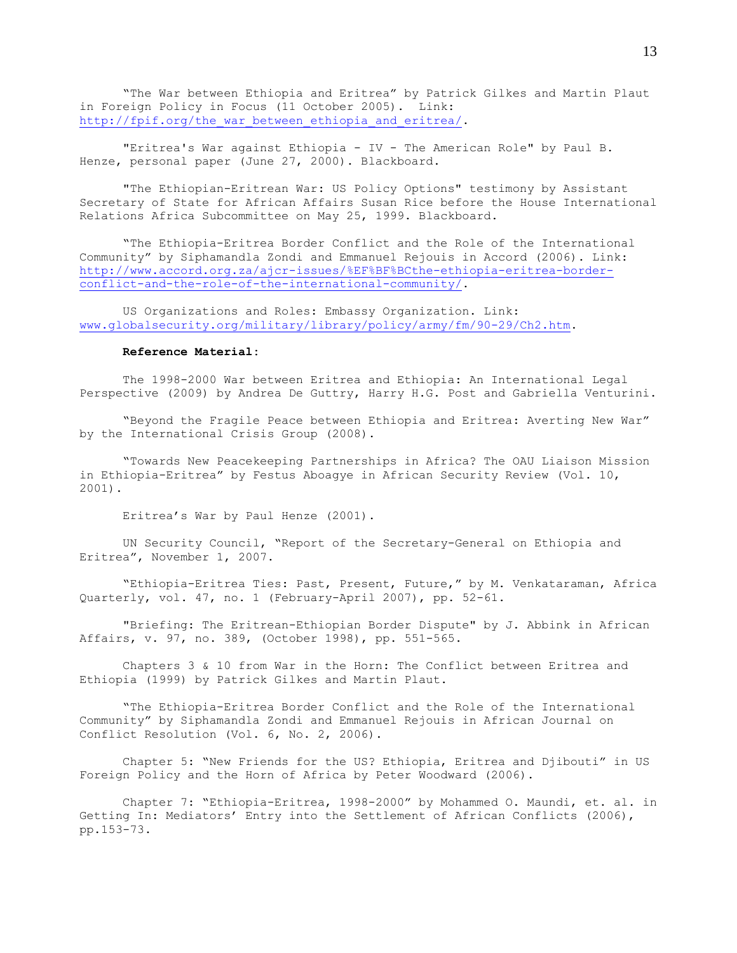"The War between Ethiopia and Eritrea" by Patrick Gilkes and Martin Plaut in Foreign Policy in Focus (11 October 2005). Link: http://fpif.org/the war between ethiopia and eritrea/.

"Eritrea's War against Ethiopia - IV - The American Role" by Paul B. Henze, personal paper (June 27, 2000). Blackboard.

"The Ethiopian-Eritrean War: US Policy Options" testimony by Assistant Secretary of State for African Affairs Susan Rice before the House International Relations Africa Subcommittee on May 25, 1999. Blackboard.

"The Ethiopia-Eritrea Border Conflict and the Role of the International Community" by Siphamandla Zondi and Emmanuel Rejouis in Accord (2006). Link: [http://www.accord.org.za/ajcr-issues/%EF%BF%BCthe-ethiopia-eritrea-border](http://www.accord.org.za/ajcr-issues/%EF%BF%BCthe-ethiopia-eritrea-border-conflict-and-the-role-of-the-international-community/)[conflict-and-the-role-of-the-international-community/.](http://www.accord.org.za/ajcr-issues/%EF%BF%BCthe-ethiopia-eritrea-border-conflict-and-the-role-of-the-international-community/)

US Organizations and Roles: Embassy Organization. Link: [www.globalsecurity.org/military/library/policy/army/fm/90-29/Ch2.htm.](http://www.globalsecurity.org/military/library/policy/army/fm/90-29/Ch2.htm)

## **Reference Material:**

The 1998-2000 War between Eritrea and Ethiopia: An International Legal Perspective (2009) by Andrea De Guttry, Harry H.G. Post and Gabriella Venturini.

"Beyond the Fragile Peace between Ethiopia and Eritrea: Averting New War" by the International Crisis Group (2008).

"Towards New Peacekeeping Partnerships in Africa? The OAU Liaison Mission in Ethiopia-Eritrea" by Festus Aboagye in African Security Review (Vol. 10, 2001).

Eritrea's War by Paul Henze (2001).

UN Security Council, "Report of the Secretary-General on Ethiopia and Eritrea", November 1, 2007.

"Ethiopia-Eritrea Ties: Past, Present, Future," by M. Venkataraman, Africa Quarterly, vol. 47, no. 1 (February-April 2007), pp. 52-61.

"Briefing: The Eritrean-Ethiopian Border Dispute" by J. Abbink in African Affairs, v. 97, no. 389, (October 1998), pp. 551-565.

Chapters 3 & 10 from War in the Horn: The Conflict between Eritrea and Ethiopia (1999) by Patrick Gilkes and Martin Plaut.

"The Ethiopia-Eritrea Border Conflict and the Role of the International Community" by Siphamandla Zondi and Emmanuel Rejouis in African Journal on Conflict Resolution (Vol. 6, No. 2, 2006).

Chapter 5: "New Friends for the US? Ethiopia, Eritrea and Djibouti" in US Foreign Policy and the Horn of Africa by Peter Woodward (2006).

Chapter 7: "Ethiopia-Eritrea, 1998-2000" by Mohammed O. Maundi, et. al. in Getting In: Mediators' Entry into the Settlement of African Conflicts (2006), pp.153-73.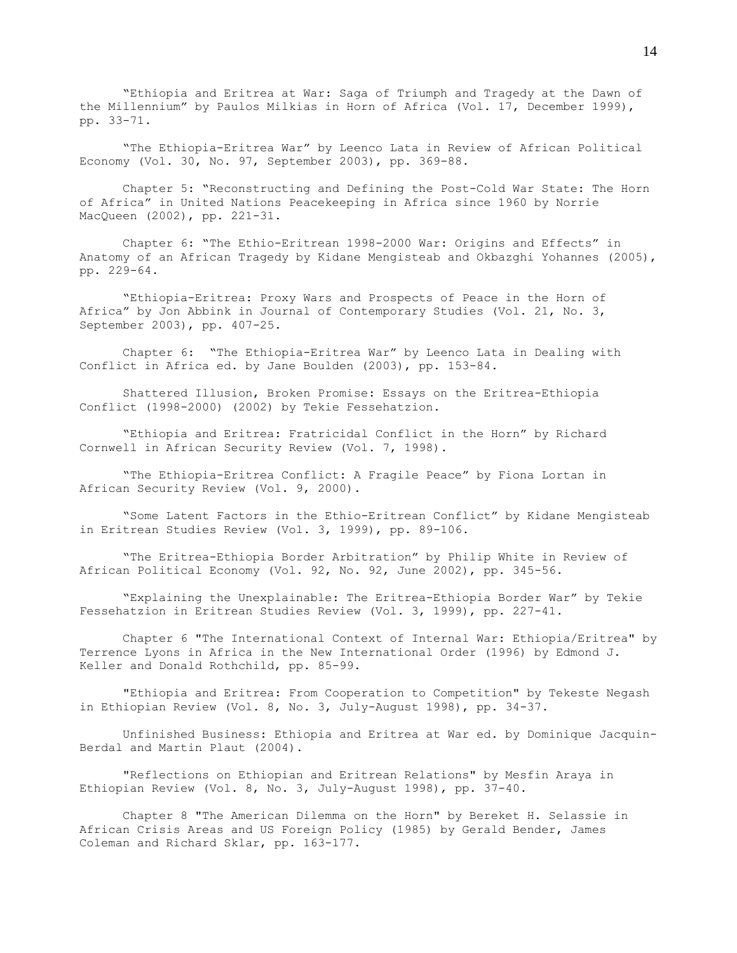"Ethiopia and Eritrea at War: Saga of Triumph and Tragedy at the Dawn of the Millennium" by Paulos Milkias in Horn of Africa (Vol. 17, December 1999), pp. 33-71.

"The Ethiopia-Eritrea War" by Leenco Lata in Review of African Political Economy (Vol. 30, No. 97, September 2003), pp. 369-88.

Chapter 5: "Reconstructing and Defining the Post-Cold War State: The Horn of Africa" in United Nations Peacekeeping in Africa since 1960 by Norrie MacQueen (2002), pp. 221-31.

Chapter 6: "The Ethio-Eritrean 1998-2000 War: Origins and Effects" in Anatomy of an African Tragedy by Kidane Mengisteab and Okbazghi Yohannes (2005), pp. 229-64.

"Ethiopia-Eritrea: Proxy Wars and Prospects of Peace in the Horn of Africa" by Jon Abbink in Journal of Contemporary Studies (Vol. 21, No. 3, September 2003), pp. 407-25.

Chapter 6: "The Ethiopia-Eritrea War" by Leenco Lata in Dealing with Conflict in Africa ed. by Jane Boulden (2003), pp. 153-84.

Shattered Illusion, Broken Promise: Essays on the Eritrea-Ethiopia Conflict (1998-2000) (2002) by Tekie Fessehatzion.

"Ethiopia and Eritrea: Fratricidal Conflict in the Horn" by Richard Cornwell in African Security Review (Vol. 7, 1998).

"The Ethiopia-Eritrea Conflict: A Fragile Peace" by Fiona Lortan in African Security Review (Vol. 9, 2000).

"Some Latent Factors in the Ethio-Eritrean Conflict" by Kidane Mengisteab in Eritrean Studies Review (Vol. 3, 1999), pp. 89-106.

"The Eritrea-Ethiopia Border Arbitration" by Philip White in Review of African Political Economy (Vol. 92, No. 92, June 2002), pp. 345-56.

"Explaining the Unexplainable: The Eritrea-Ethiopia Border War" by Tekie Fessehatzion in Eritrean Studies Review (Vol. 3, 1999), pp. 227-41.

Chapter 6 "The International Context of Internal War: Ethiopia/Eritrea" by Terrence Lyons in Africa in the New International Order (1996) by Edmond J. Keller and Donald Rothchild, pp. 85-99.

"Ethiopia and Eritrea: From Cooperation to Competition" by Tekeste Negash in Ethiopian Review (Vol. 8, No. 3, July-August 1998), pp. 34-37.

Unfinished Business: Ethiopia and Eritrea at War ed. by Dominique Jacquin-Berdal and Martin Plaut (2004).

"Reflections on Ethiopian and Eritrean Relations" by Mesfin Araya in Ethiopian Review (Vol. 8, No. 3, July-August 1998), pp. 37-40.

Chapter 8 "The American Dilemma on the Horn" by Bereket H. Selassie in African Crisis Areas and US Foreign Policy (1985) by Gerald Bender, James Coleman and Richard Sklar, pp. 163-177.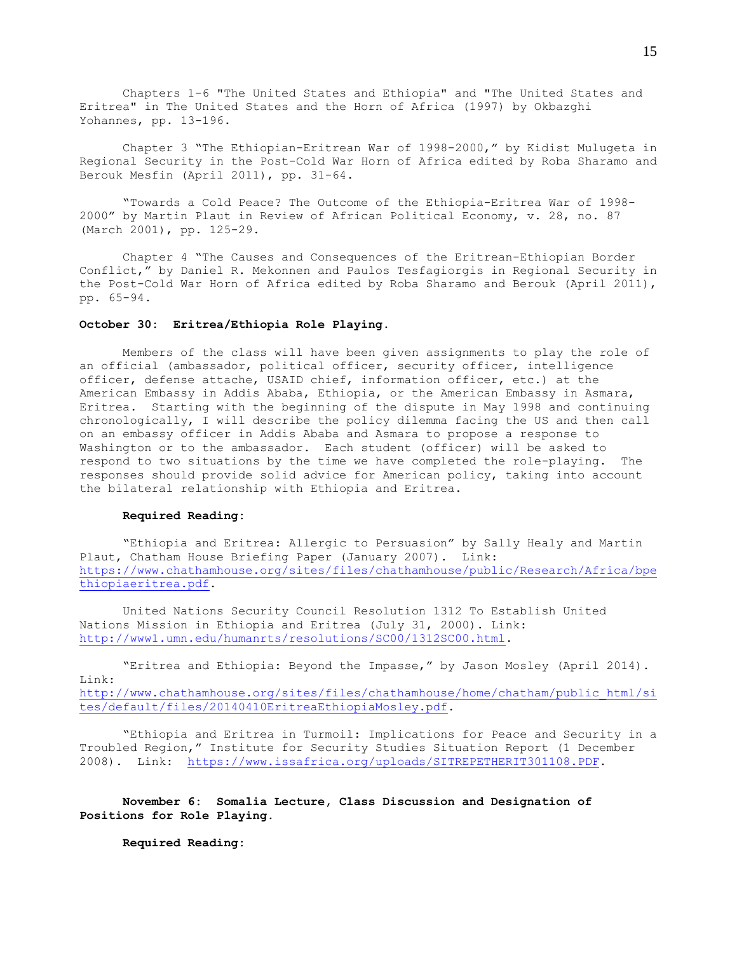Chapters 1-6 "The United States and Ethiopia" and "The United States and Eritrea" in The United States and the Horn of Africa (1997) by Okbazghi Yohannes, pp. 13-196.

Chapter 3 "The Ethiopian-Eritrean War of 1998-2000," by Kidist Mulugeta in Regional Security in the Post-Cold War Horn of Africa edited by Roba Sharamo and Berouk Mesfin (April 2011), pp. 31-64.

"Towards a Cold Peace? The Outcome of the Ethiopia-Eritrea War of 1998- 2000" by Martin Plaut in Review of African Political Economy, v. 28, no. 87 (March 2001), pp. 125-29.

Chapter 4 "The Causes and Consequences of the Eritrean-Ethiopian Border Conflict," by Daniel R. Mekonnen and Paulos Tesfagiorgis in Regional Security in the Post-Cold War Horn of Africa edited by Roba Sharamo and Berouk (April 2011), pp. 65-94.

# **October 30: Eritrea/Ethiopia Role Playing.**

Members of the class will have been given assignments to play the role of an official (ambassador, political officer, security officer, intelligence officer, defense attache, USAID chief, information officer, etc.) at the American Embassy in Addis Ababa, Ethiopia, or the American Embassy in Asmara, Eritrea. Starting with the beginning of the dispute in May 1998 and continuing chronologically, I will describe the policy dilemma facing the US and then call on an embassy officer in Addis Ababa and Asmara to propose a response to Washington or to the ambassador. Each student (officer) will be asked to respond to two situations by the time we have completed the role-playing. The responses should provide solid advice for American policy, taking into account the bilateral relationship with Ethiopia and Eritrea.

## **Required Reading:**

"Ethiopia and Eritrea: Allergic to Persuasion" by Sally Healy and Martin Plaut, Chatham House Briefing Paper (January 2007). Link: [https://www.chathamhouse.org/sites/files/chathamhouse/public/Research/Africa/bpe](https://www.chathamhouse.org/sites/files/chathamhouse/public/Research/Africa/bpethiopiaeritrea.pdf) [thiopiaeritrea.pdf.](https://www.chathamhouse.org/sites/files/chathamhouse/public/Research/Africa/bpethiopiaeritrea.pdf)

United Nations Security Council Resolution 1312 To Establish United Nations Mission in Ethiopia and Eritrea (July 31, 2000). Link: [http://www1.umn.edu/humanrts/resolutions/SC00/1312SC00.html.](http://www1.umn.edu/humanrts/resolutions/SC00/1312SC00.html)

"Eritrea and Ethiopia: Beyond the Impasse," by Jason Mosley (April 2014). Link: [http://www.chathamhouse.org/sites/files/chathamhouse/home/chatham/public\\_html/si](http://www.chathamhouse.org/sites/files/chathamhouse/home/chatham/public_html/sites/default/files/20140410EritreaEthiopiaMosley.pdf) [tes/default/files/20140410EritreaEthiopiaMosley.pdf.](http://www.chathamhouse.org/sites/files/chathamhouse/home/chatham/public_html/sites/default/files/20140410EritreaEthiopiaMosley.pdf)

"Ethiopia and Eritrea in Turmoil: Implications for Peace and Security in a Troubled Region," Institute for Security Studies Situation Report (1 December 2008). Link: [https://www.issafrica.org/uploads/SITREPETHERIT301108.PDF.](https://www.issafrica.org/uploads/SITREPETHERIT301108.PDF)

**November 6: Somalia Lecture, Class Discussion and Designation of Positions for Role Playing.** 

**Required Reading:**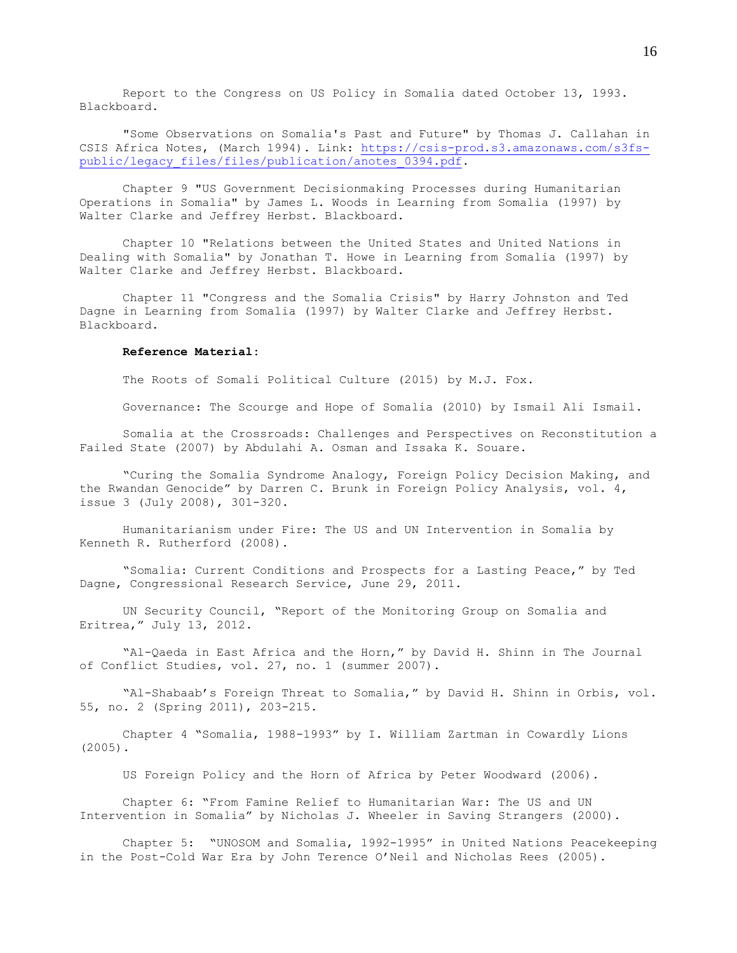Report to the Congress on US Policy in Somalia dated October 13, 1993. Blackboard.

"Some Observations on Somalia's Past and Future" by Thomas J. Callahan in CSIS Africa Notes, (March 1994). Link: [https://csis-prod.s3.amazonaws.com/s3fs](https://csis-prod.s3.amazonaws.com/s3fs-public/legacy_files/files/publication/anotes_0394.pdf)[public/legacy\\_files/files/publication/anotes\\_0394.pdf.](https://csis-prod.s3.amazonaws.com/s3fs-public/legacy_files/files/publication/anotes_0394.pdf)

Chapter 9 "US Government Decisionmaking Processes during Humanitarian Operations in Somalia" by James L. Woods in Learning from Somalia (1997) by Walter Clarke and Jeffrey Herbst. Blackboard.

Chapter 10 "Relations between the United States and United Nations in Dealing with Somalia" by Jonathan T. Howe in Learning from Somalia (1997) by Walter Clarke and Jeffrey Herbst. Blackboard.

Chapter 11 "Congress and the Somalia Crisis" by Harry Johnston and Ted Dagne in Learning from Somalia (1997) by Walter Clarke and Jeffrey Herbst. Blackboard.

#### **Reference Material:**

The Roots of Somali Political Culture (2015) by M.J. Fox.

Governance: The Scourge and Hope of Somalia (2010) by Ismail Ali Ismail.

Somalia at the Crossroads: Challenges and Perspectives on Reconstitution a Failed State (2007) by Abdulahi A. Osman and Issaka K. Souare.

"Curing the Somalia Syndrome Analogy, Foreign Policy Decision Making, and the Rwandan Genocide" by Darren C. Brunk in Foreign Policy Analysis, vol. 4, issue 3 (July 2008), 301-320.

Humanitarianism under Fire: The US and UN Intervention in Somalia by Kenneth R. Rutherford (2008).

"Somalia: Current Conditions and Prospects for a Lasting Peace," by Ted Dagne, Congressional Research Service, June 29, 2011.

UN Security Council, "Report of the Monitoring Group on Somalia and Eritrea," July 13, 2012.

"Al-Qaeda in East Africa and the Horn," by David H. Shinn in The Journal of Conflict Studies, vol. 27, no. 1 (summer 2007).

"Al-Shabaab's Foreign Threat to Somalia," by David H. Shinn in Orbis, vol. 55, no. 2 (Spring 2011), 203-215.

Chapter 4 "Somalia, 1988-1993" by I. William Zartman in Cowardly Lions (2005).

US Foreign Policy and the Horn of Africa by Peter Woodward (2006).

Chapter 6: "From Famine Relief to Humanitarian War: The US and UN Intervention in Somalia" by Nicholas J. Wheeler in Saving Strangers (2000).

Chapter 5: "UNOSOM and Somalia, 1992-1995" in United Nations Peacekeeping in the Post-Cold War Era by John Terence O'Neil and Nicholas Rees (2005).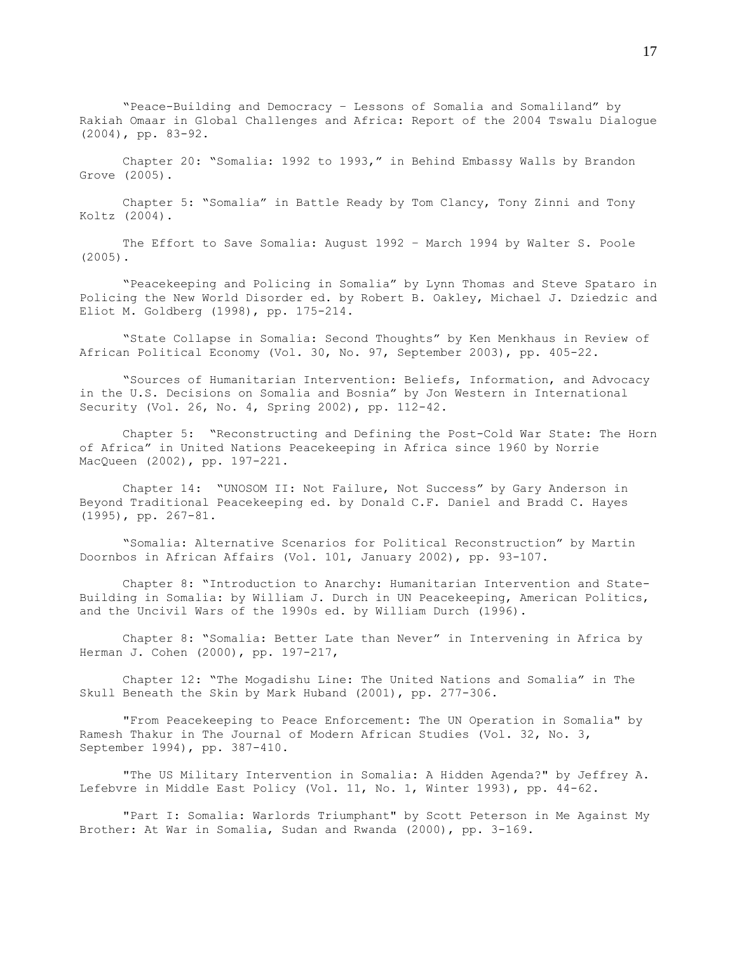"Peace-Building and Democracy – Lessons of Somalia and Somaliland" by Rakiah Omaar in Global Challenges and Africa: Report of the 2004 Tswalu Dialogue (2004), pp. 83-92.

Chapter 20: "Somalia: 1992 to 1993," in Behind Embassy Walls by Brandon Grove (2005).

Chapter 5: "Somalia" in Battle Ready by Tom Clancy, Tony Zinni and Tony Koltz (2004).

The Effort to Save Somalia: August 1992 – March 1994 by Walter S. Poole (2005).

"Peacekeeping and Policing in Somalia" by Lynn Thomas and Steve Spataro in Policing the New World Disorder ed. by Robert B. Oakley, Michael J. Dziedzic and Eliot M. Goldberg (1998), pp. 175-214.

"State Collapse in Somalia: Second Thoughts" by Ken Menkhaus in Review of African Political Economy (Vol. 30, No. 97, September 2003), pp. 405-22.

"Sources of Humanitarian Intervention: Beliefs, Information, and Advocacy in the U.S. Decisions on Somalia and Bosnia" by Jon Western in International Security (Vol. 26, No. 4, Spring 2002), pp. 112-42.

Chapter 5: "Reconstructing and Defining the Post-Cold War State: The Horn of Africa" in United Nations Peacekeeping in Africa since 1960 by Norrie MacQueen (2002), pp. 197-221.

Chapter 14: "UNOSOM II: Not Failure, Not Success" by Gary Anderson in Beyond Traditional Peacekeeping ed. by Donald C.F. Daniel and Bradd C. Hayes (1995), pp. 267-81.

"Somalia: Alternative Scenarios for Political Reconstruction" by Martin Doornbos in African Affairs (Vol. 101, January 2002), pp. 93-107.

Chapter 8: "Introduction to Anarchy: Humanitarian Intervention and State-Building in Somalia: by William J. Durch in UN Peacekeeping, American Politics, and the Uncivil Wars of the 1990s ed. by William Durch (1996).

Chapter 8: "Somalia: Better Late than Never" in Intervening in Africa by Herman J. Cohen (2000), pp. 197-217,

Chapter 12: "The Mogadishu Line: The United Nations and Somalia" in The Skull Beneath the Skin by Mark Huband (2001), pp. 277-306.

"From Peacekeeping to Peace Enforcement: The UN Operation in Somalia" by Ramesh Thakur in The Journal of Modern African Studies (Vol. 32, No. 3, September 1994), pp. 387-410.

"The US Military Intervention in Somalia: A Hidden Agenda?" by Jeffrey A. Lefebvre in Middle East Policy (Vol. 11, No. 1, Winter 1993), pp. 44-62.

"Part I: Somalia: Warlords Triumphant" by Scott Peterson in Me Against My Brother: At War in Somalia, Sudan and Rwanda (2000), pp. 3-169.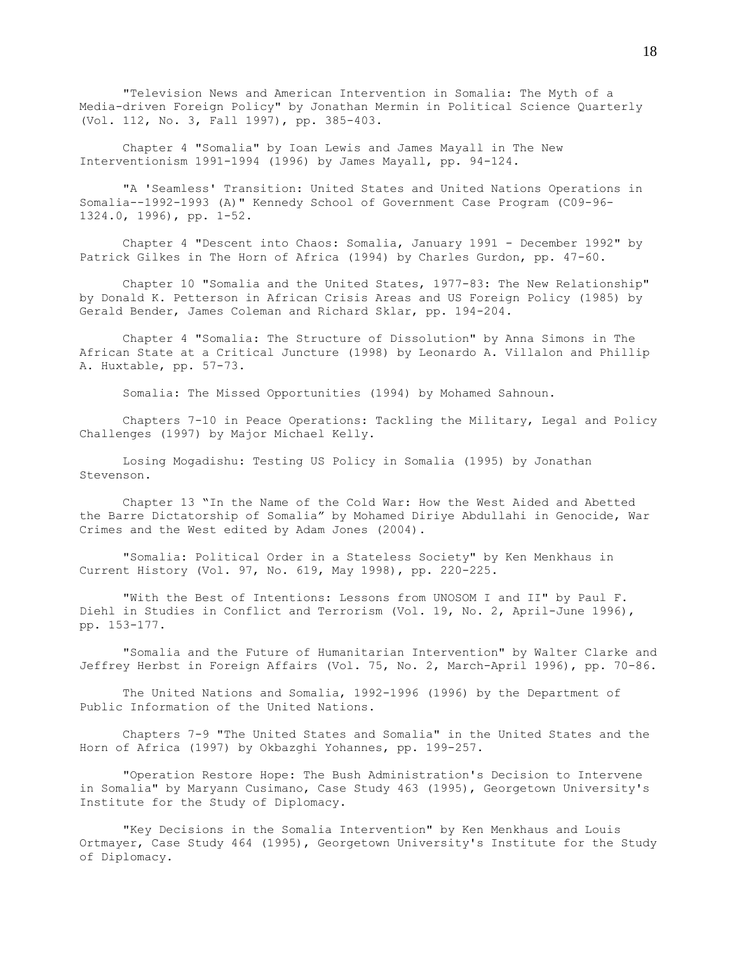"Television News and American Intervention in Somalia: The Myth of a Media-driven Foreign Policy" by Jonathan Mermin in Political Science Quarterly (Vol. 112, No. 3, Fall 1997), pp. 385-403.

Chapter 4 "Somalia" by Ioan Lewis and James Mayall in The New Interventionism 1991-1994 (1996) by James Mayall, pp. 94-124.

"A 'Seamless' Transition: United States and United Nations Operations in Somalia--1992-1993 (A)" Kennedy School of Government Case Program (C09-96- 1324.0, 1996), pp. 1-52.

Chapter 4 "Descent into Chaos: Somalia, January 1991 - December 1992" by Patrick Gilkes in The Horn of Africa (1994) by Charles Gurdon, pp. 47-60.

Chapter 10 "Somalia and the United States, 1977-83: The New Relationship" by Donald K. Petterson in African Crisis Areas and US Foreign Policy (1985) by Gerald Bender, James Coleman and Richard Sklar, pp. 194-204.

Chapter 4 "Somalia: The Structure of Dissolution" by Anna Simons in The African State at a Critical Juncture (1998) by Leonardo A. Villalon and Phillip A. Huxtable, pp. 57-73.

Somalia: The Missed Opportunities (1994) by Mohamed Sahnoun.

Chapters 7-10 in Peace Operations: Tackling the Military, Legal and Policy Challenges (1997) by Major Michael Kelly.

Losing Mogadishu: Testing US Policy in Somalia (1995) by Jonathan Stevenson.

Chapter 13 "In the Name of the Cold War: How the West Aided and Abetted the Barre Dictatorship of Somalia" by Mohamed Diriye Abdullahi in Genocide, War Crimes and the West edited by Adam Jones (2004).

"Somalia: Political Order in a Stateless Society" by Ken Menkhaus in Current History (Vol. 97, No. 619, May 1998), pp. 220-225.

"With the Best of Intentions: Lessons from UNOSOM I and II" by Paul F. Diehl in Studies in Conflict and Terrorism (Vol. 19, No. 2, April-June 1996), pp. 153-177.

"Somalia and the Future of Humanitarian Intervention" by Walter Clarke and Jeffrey Herbst in Foreign Affairs (Vol. 75, No. 2, March-April 1996), pp. 70-86.

The United Nations and Somalia, 1992-1996 (1996) by the Department of Public Information of the United Nations.

Chapters 7-9 "The United States and Somalia" in the United States and the Horn of Africa (1997) by Okbazghi Yohannes, pp. 199-257.

"Operation Restore Hope: The Bush Administration's Decision to Intervene in Somalia" by Maryann Cusimano, Case Study 463 (1995), Georgetown University's Institute for the Study of Diplomacy.

"Key Decisions in the Somalia Intervention" by Ken Menkhaus and Louis Ortmayer, Case Study 464 (1995), Georgetown University's Institute for the Study of Diplomacy.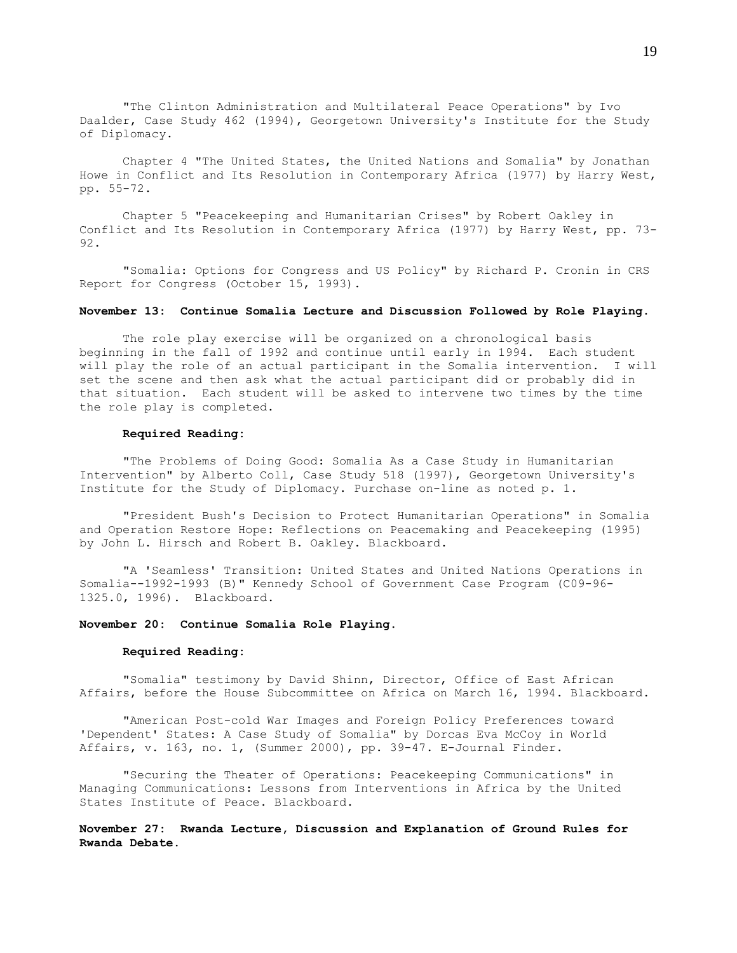"The Clinton Administration and Multilateral Peace Operations" by Ivo Daalder, Case Study 462 (1994), Georgetown University's Institute for the Study of Diplomacy.

Chapter 4 "The United States, the United Nations and Somalia" by Jonathan Howe in Conflict and Its Resolution in Contemporary Africa (1977) by Harry West, pp. 55-72.

Chapter 5 "Peacekeeping and Humanitarian Crises" by Robert Oakley in Conflict and Its Resolution in Contemporary Africa (1977) by Harry West, pp. 73- 92.

"Somalia: Options for Congress and US Policy" by Richard P. Cronin in CRS Report for Congress (October 15, 1993).

## **November 13: Continue Somalia Lecture and Discussion Followed by Role Playing.**

The role play exercise will be organized on a chronological basis beginning in the fall of 1992 and continue until early in 1994. Each student will play the role of an actual participant in the Somalia intervention. I will set the scene and then ask what the actual participant did or probably did in that situation. Each student will be asked to intervene two times by the time the role play is completed.

#### **Required Reading:**

"The Problems of Doing Good: Somalia As a Case Study in Humanitarian Intervention" by Alberto Coll, Case Study 518 (1997), Georgetown University's Institute for the Study of Diplomacy. Purchase on-line as noted p. 1.

"President Bush's Decision to Protect Humanitarian Operations" in Somalia and Operation Restore Hope: Reflections on Peacemaking and Peacekeeping (1995) by John L. Hirsch and Robert B. Oakley. Blackboard.

"A 'Seamless' Transition: United States and United Nations Operations in Somalia--1992-1993 (B)" Kennedy School of Government Case Program (C09-96- 1325.0, 1996). Blackboard.

#### **November 20: Continue Somalia Role Playing.**

#### **Required Reading:**

"Somalia" testimony by David Shinn, Director, Office of East African Affairs, before the House Subcommittee on Africa on March 16, 1994. Blackboard.

"American Post-cold War Images and Foreign Policy Preferences toward 'Dependent' States: A Case Study of Somalia" by Dorcas Eva McCoy in World Affairs, v. 163, no. 1, (Summer 2000), pp. 39-47. E-Journal Finder.

"Securing the Theater of Operations: Peacekeeping Communications" in Managing Communications: Lessons from Interventions in Africa by the United States Institute of Peace. Blackboard.

**November 27: Rwanda Lecture, Discussion and Explanation of Ground Rules for Rwanda Debate.**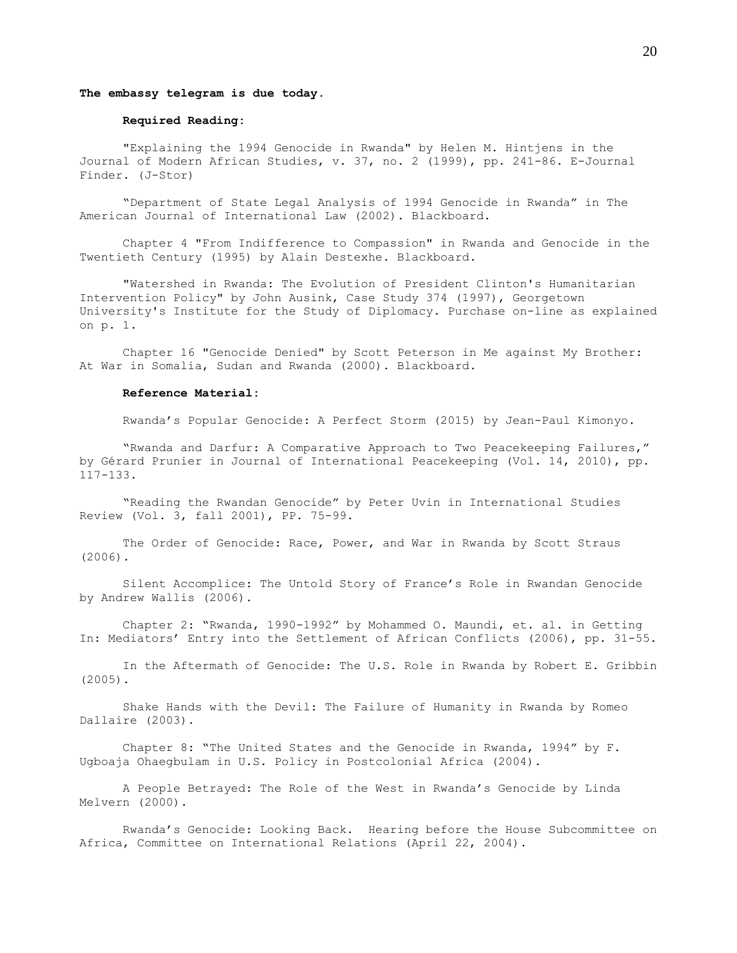## **The embassy telegram is due today.**

## **Required Reading:**

"Explaining the 1994 Genocide in Rwanda" by Helen M. Hintjens in the Journal of Modern African Studies, v. 37, no. 2 (1999), pp. 241-86. E-Journal Finder. (J-Stor)

"Department of State Legal Analysis of 1994 Genocide in Rwanda" in The American Journal of International Law (2002). Blackboard.

Chapter 4 "From Indifference to Compassion" in Rwanda and Genocide in the Twentieth Century (1995) by Alain Destexhe. Blackboard.

"Watershed in Rwanda: The Evolution of President Clinton's Humanitarian Intervention Policy" by John Ausink, Case Study 374 (1997), Georgetown University's Institute for the Study of Diplomacy. Purchase on-line as explained on p. 1.

Chapter 16 "Genocide Denied" by Scott Peterson in Me against My Brother: At War in Somalia, Sudan and Rwanda (2000). Blackboard.

# **Reference Material:**

Rwanda's Popular Genocide: A Perfect Storm (2015) by Jean-Paul Kimonyo.

"Rwanda and Darfur: A Comparative Approach to Two Peacekeeping Failures," by Gérard Prunier in Journal of International Peacekeeping (Vol. 14, 2010), pp. 117-133.

"Reading the Rwandan Genocide" by Peter Uvin in International Studies Review (Vol. 3, fall 2001), PP. 75-99.

The Order of Genocide: Race, Power, and War in Rwanda by Scott Straus (2006).

Silent Accomplice: The Untold Story of France's Role in Rwandan Genocide by Andrew Wallis (2006).

Chapter 2: "Rwanda, 1990-1992" by Mohammed O. Maundi, et. al. in Getting In: Mediators' Entry into the Settlement of African Conflicts (2006), pp. 31-55.

In the Aftermath of Genocide: The U.S. Role in Rwanda by Robert E. Gribbin (2005).

Shake Hands with the Devil: The Failure of Humanity in Rwanda by Romeo Dallaire (2003).

Chapter 8: "The United States and the Genocide in Rwanda, 1994" by F. Ugboaja Ohaegbulam in U.S. Policy in Postcolonial Africa (2004).

A People Betrayed: The Role of the West in Rwanda's Genocide by Linda Melvern (2000).

Rwanda's Genocide: Looking Back. Hearing before the House Subcommittee on Africa, Committee on International Relations (April 22, 2004).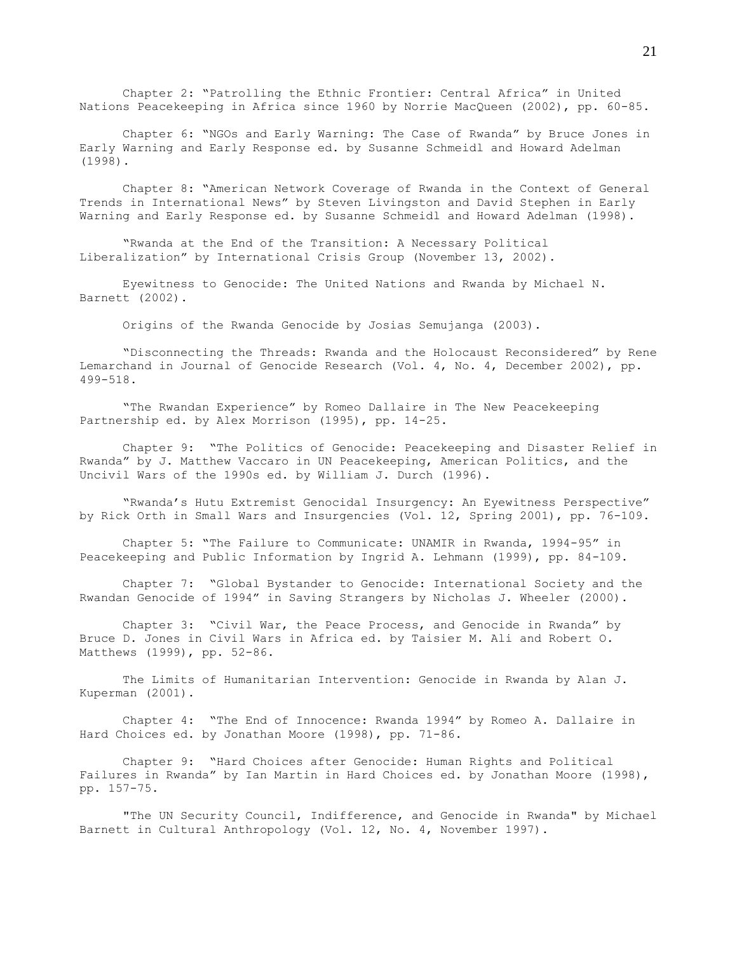Chapter 2: "Patrolling the Ethnic Frontier: Central Africa" in United Nations Peacekeeping in Africa since 1960 by Norrie MacQueen (2002), pp. 60-85.

Chapter 6: "NGOs and Early Warning: The Case of Rwanda" by Bruce Jones in Early Warning and Early Response ed. by Susanne Schmeidl and Howard Adelman (1998).

Chapter 8: "American Network Coverage of Rwanda in the Context of General Trends in International News" by Steven Livingston and David Stephen in Early Warning and Early Response ed. by Susanne Schmeidl and Howard Adelman (1998).

"Rwanda at the End of the Transition: A Necessary Political Liberalization" by International Crisis Group (November 13, 2002).

Eyewitness to Genocide: The United Nations and Rwanda by Michael N. Barnett (2002).

Origins of the Rwanda Genocide by Josias Semujanga (2003).

"Disconnecting the Threads: Rwanda and the Holocaust Reconsidered" by Rene Lemarchand in Journal of Genocide Research (Vol. 4, No. 4, December 2002), pp. 499-518.

"The Rwandan Experience" by Romeo Dallaire in The New Peacekeeping Partnership ed. by Alex Morrison (1995), pp. 14-25.

Chapter 9: "The Politics of Genocide: Peacekeeping and Disaster Relief in Rwanda" by J. Matthew Vaccaro in UN Peacekeeping, American Politics, and the Uncivil Wars of the 1990s ed. by William J. Durch (1996).

"Rwanda's Hutu Extremist Genocidal Insurgency: An Eyewitness Perspective" by Rick Orth in Small Wars and Insurgencies (Vol. 12, Spring 2001), pp. 76-109.

Chapter 5: "The Failure to Communicate: UNAMIR in Rwanda, 1994-95" in Peacekeeping and Public Information by Ingrid A. Lehmann (1999), pp. 84-109.

Chapter 7: "Global Bystander to Genocide: International Society and the Rwandan Genocide of 1994" in Saving Strangers by Nicholas J. Wheeler (2000).

Chapter 3: "Civil War, the Peace Process, and Genocide in Rwanda" by Bruce D. Jones in Civil Wars in Africa ed. by Taisier M. Ali and Robert O. Matthews (1999), pp. 52-86.

The Limits of Humanitarian Intervention: Genocide in Rwanda by Alan J. Kuperman (2001).

Chapter 4: "The End of Innocence: Rwanda 1994" by Romeo A. Dallaire in Hard Choices ed. by Jonathan Moore (1998), pp. 71-86.

Chapter 9: "Hard Choices after Genocide: Human Rights and Political Failures in Rwanda" by Ian Martin in Hard Choices ed. by Jonathan Moore (1998), pp. 157-75.

"The UN Security Council, Indifference, and Genocide in Rwanda" by Michael Barnett in Cultural Anthropology (Vol. 12, No. 4, November 1997).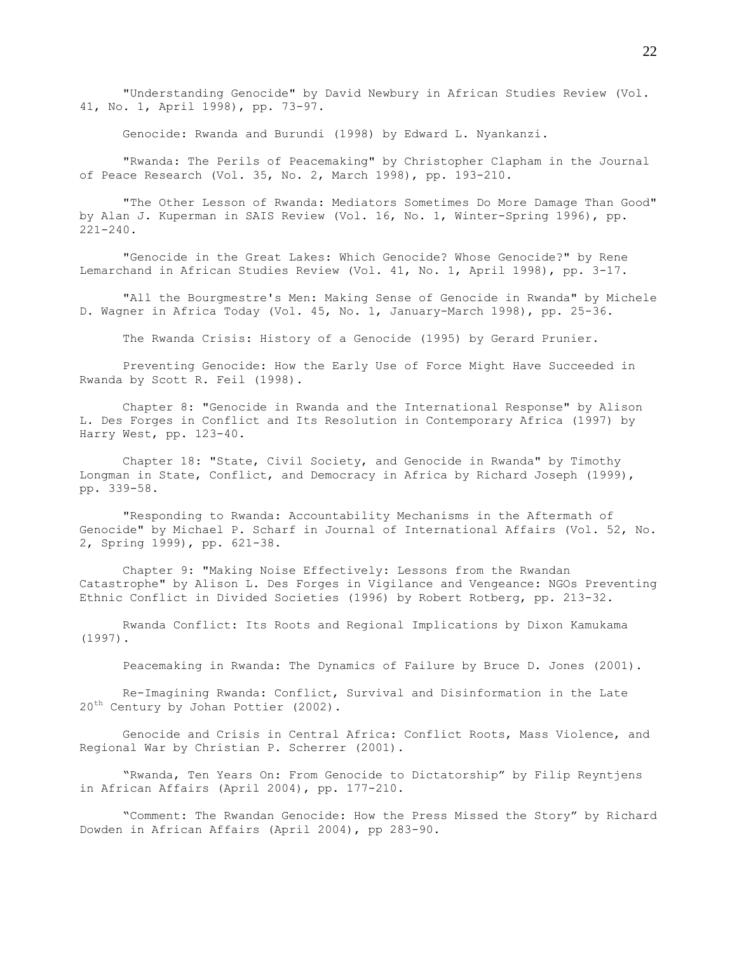"Understanding Genocide" by David Newbury in African Studies Review (Vol. 41, No. 1, April 1998), pp. 73-97.

Genocide: Rwanda and Burundi (1998) by Edward L. Nyankanzi.

"Rwanda: The Perils of Peacemaking" by Christopher Clapham in the Journal of Peace Research (Vol. 35, No. 2, March 1998), pp. 193-210.

"The Other Lesson of Rwanda: Mediators Sometimes Do More Damage Than Good" by Alan J. Kuperman in SAIS Review (Vol. 16, No. 1, Winter-Spring 1996), pp.  $221 - 240$ .

"Genocide in the Great Lakes: Which Genocide? Whose Genocide?" by Rene Lemarchand in African Studies Review (Vol. 41, No. 1, April 1998), pp. 3-17.

"All the Bourgmestre's Men: Making Sense of Genocide in Rwanda" by Michele D. Wagner in Africa Today (Vol. 45, No. 1, January-March 1998), pp. 25-36.

The Rwanda Crisis: History of a Genocide (1995) by Gerard Prunier.

Preventing Genocide: How the Early Use of Force Might Have Succeeded in Rwanda by Scott R. Feil (1998).

Chapter 8: "Genocide in Rwanda and the International Response" by Alison L. Des Forges in Conflict and Its Resolution in Contemporary Africa (1997) by Harry West, pp. 123-40.

Chapter 18: "State, Civil Society, and Genocide in Rwanda" by Timothy Longman in State, Conflict, and Democracy in Africa by Richard Joseph (1999), pp. 339-58.

"Responding to Rwanda: Accountability Mechanisms in the Aftermath of Genocide" by Michael P. Scharf in Journal of International Affairs (Vol. 52, No. 2, Spring 1999), pp. 621-38.

Chapter 9: "Making Noise Effectively: Lessons from the Rwandan Catastrophe" by Alison L. Des Forges in Vigilance and Vengeance: NGOs Preventing Ethnic Conflict in Divided Societies (1996) by Robert Rotberg, pp. 213-32.

Rwanda Conflict: Its Roots and Regional Implications by Dixon Kamukama (1997).

Peacemaking in Rwanda: The Dynamics of Failure by Bruce D. Jones (2001).

Re-Imagining Rwanda: Conflict, Survival and Disinformation in the Late 20<sup>th</sup> Century by Johan Pottier (2002).

Genocide and Crisis in Central Africa: Conflict Roots, Mass Violence, and Regional War by Christian P. Scherrer (2001).

"Rwanda, Ten Years On: From Genocide to Dictatorship" by Filip Reyntjens in African Affairs (April 2004), pp. 177-210.

"Comment: The Rwandan Genocide: How the Press Missed the Story" by Richard Dowden in African Affairs (April 2004), pp 283-90.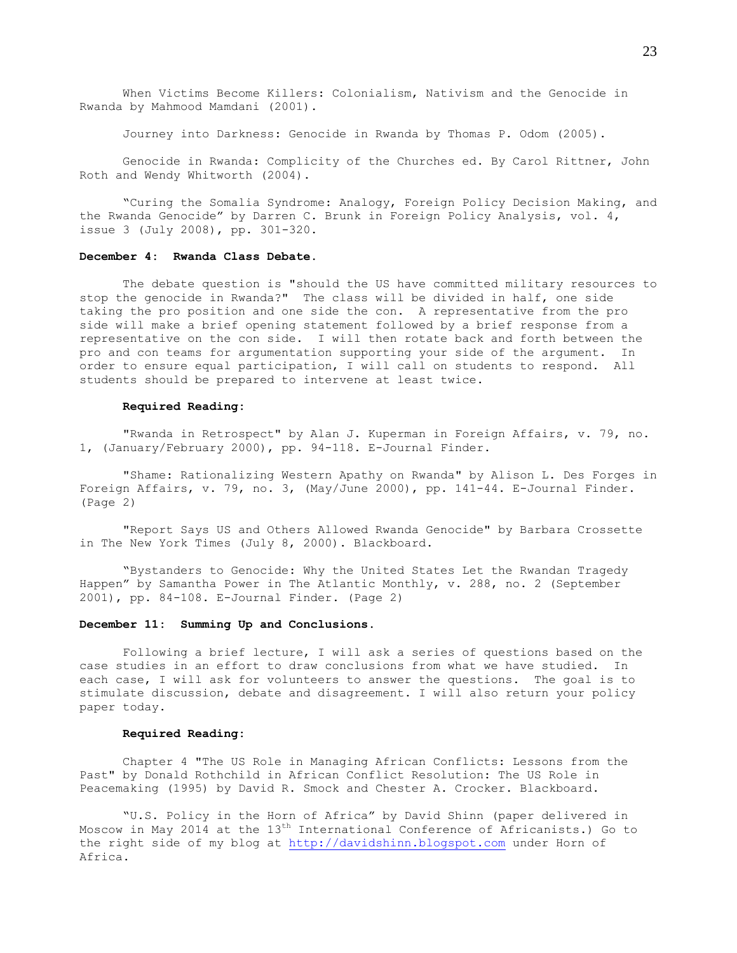When Victims Become Killers: Colonialism, Nativism and the Genocide in Rwanda by Mahmood Mamdani (2001).

Journey into Darkness: Genocide in Rwanda by Thomas P. Odom (2005).

Genocide in Rwanda: Complicity of the Churches ed. By Carol Rittner, John Roth and Wendy Whitworth (2004).

"Curing the Somalia Syndrome: Analogy, Foreign Policy Decision Making, and the Rwanda Genocide" by Darren C. Brunk in Foreign Policy Analysis, vol. 4, issue 3 (July 2008), pp. 301-320.

## **December 4: Rwanda Class Debate.**

The debate question is "should the US have committed military resources to stop the genocide in Rwanda?" The class will be divided in half, one side taking the pro position and one side the con. A representative from the pro side will make a brief opening statement followed by a brief response from a representative on the con side. I will then rotate back and forth between the pro and con teams for argumentation supporting your side of the argument. In order to ensure equal participation, I will call on students to respond. All students should be prepared to intervene at least twice.

#### **Required Reading:**

"Rwanda in Retrospect" by Alan J. Kuperman in Foreign Affairs, v. 79, no. 1, (January/February 2000), pp. 94-118. E-Journal Finder.

"Shame: Rationalizing Western Apathy on Rwanda" by Alison L. Des Forges in Foreign Affairs, v. 79, no. 3, (May/June 2000), pp. 141-44. E-Journal Finder. (Page 2)

"Report Says US and Others Allowed Rwanda Genocide" by Barbara Crossette in The New York Times (July 8, 2000). Blackboard.

"Bystanders to Genocide: Why the United States Let the Rwandan Tragedy Happen" by Samantha Power in The Atlantic Monthly, v. 288, no. 2 (September 2001), pp. 84-108. E-Journal Finder. (Page 2)

#### **December 11: Summing Up and Conclusions.**

Following a brief lecture, I will ask a series of questions based on the case studies in an effort to draw conclusions from what we have studied. In each case, I will ask for volunteers to answer the questions. The goal is to stimulate discussion, debate and disagreement. I will also return your policy paper today.

#### **Required Reading:**

Chapter 4 "The US Role in Managing African Conflicts: Lessons from the Past" by Donald Rothchild in African Conflict Resolution: The US Role in Peacemaking (1995) by David R. Smock and Chester A. Crocker. Blackboard.

"U.S. Policy in the Horn of Africa" by David Shinn (paper delivered in Moscow in May 2014 at the 13<sup>th</sup> International Conference of Africanists.) Go to the right side of my blog at [http://davidshinn.blogspot.com](http://davidshinn.blogspot.com/) under Horn of Africa.